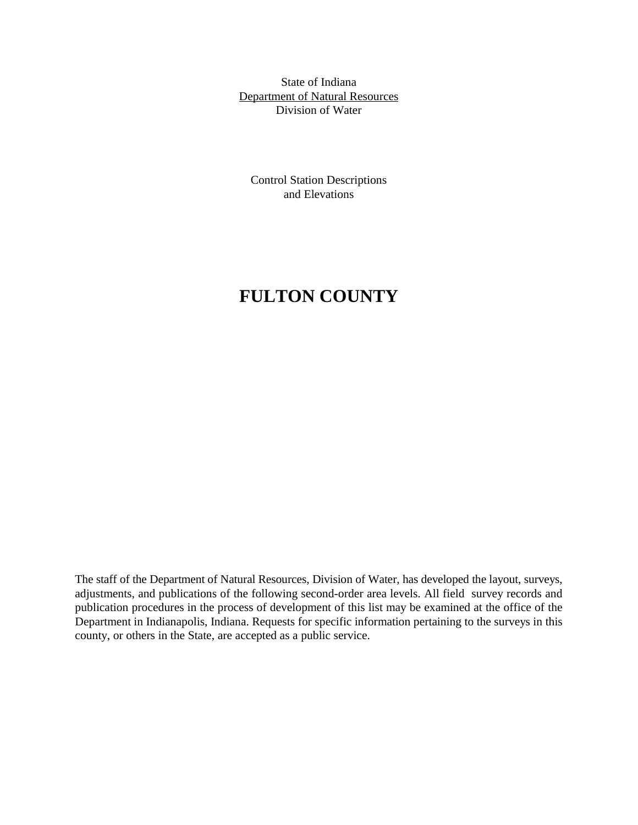State of Indiana Department of Natural Resources Division of Water

Control Station Descriptions and Elevations

# **FULTON COUNTY**

The staff of the Department of Natural Resources, Division of Water, has developed the layout, surveys, adjustments, and publications of the following second-order area levels. All field survey records and publication procedures in the process of development of this list may be examined at the office of the Department in Indianapolis, Indiana. Requests for specific information pertaining to the surveys in this county, or others in the State, are accepted as a public service.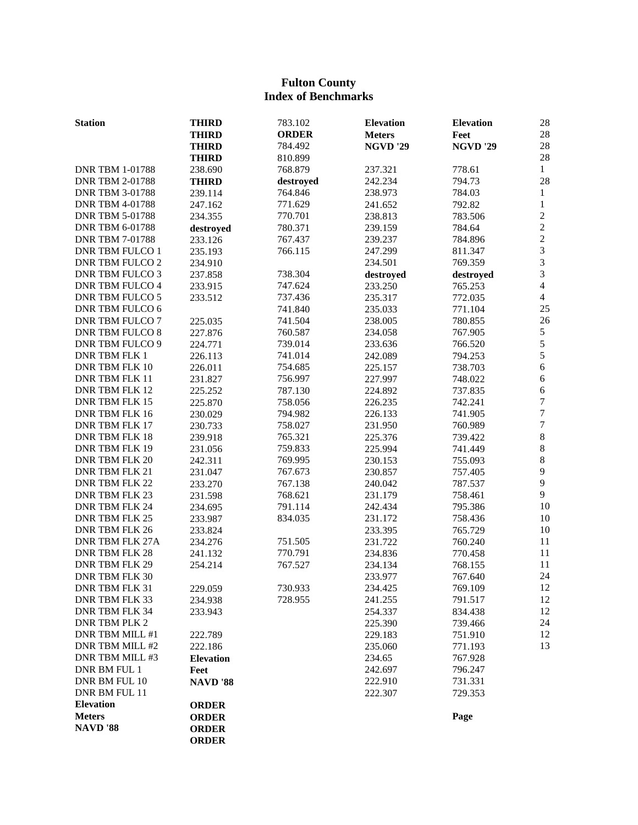# **Fulton County Index of Benchmarks**

| <b>Station</b>         | <b>THIRD</b>       | 783.102      | <b>Elevation</b>   | <b>Elevation</b>   | 28                      |
|------------------------|--------------------|--------------|--------------------|--------------------|-------------------------|
|                        | <b>THIRD</b>       | <b>ORDER</b> | <b>Meters</b>      | Feet               | 28                      |
|                        | <b>THIRD</b>       | 784.492      | <b>NGVD '29</b>    | <b>NGVD '29</b>    | 28                      |
|                        | <b>THIRD</b>       | 810.899      |                    |                    | 28                      |
| <b>DNR TBM 1-01788</b> | 238.690            | 768.879      | 237.321            | 778.61             | $\mathbf{1}$            |
| <b>DNR TBM 2-01788</b> | <b>THIRD</b>       | destroyed    | 242.234            | 794.73             | 28                      |
| <b>DNR TBM 3-01788</b> | 239.114            | 764.846      | 238.973            | 784.03             | $\mathbf{1}$            |
| <b>DNR TBM 4-01788</b> | 247.162            | 771.629      | 241.652            | 792.82             | $\mathbf{1}$            |
| <b>DNR TBM 5-01788</b> | 234.355            | 770.701      | 238.813            | 783.506            | $\overline{c}$          |
| <b>DNR TBM 6-01788</b> | destroyed          | 780.371      | 239.159            | 784.64             | $\overline{c}$          |
| <b>DNR TBM 7-01788</b> | 233.126            | 767.437      | 239.237            | 784.896            | $\overline{c}$          |
| <b>DNR TBM FULCO 1</b> | 235.193            | 766.115      | 247.299            | 811.347            | $\overline{3}$          |
| <b>DNR TBM FULCO 2</b> | 234.910            |              | 234.501            | 769.359            | $\overline{\mathbf{3}}$ |
| <b>DNR TBM FULCO 3</b> | 237.858            | 738.304      | destroyed          | destroyed          | 3                       |
| <b>DNR TBM FULCO 4</b> | 233.915            | 747.624      | 233.250            | 765.253            | $\overline{4}$          |
| <b>DNR TBM FULCO 5</b> | 233.512            | 737.436      | 235.317            | 772.035            | $\overline{4}$          |
| <b>DNR TBM FULCO 6</b> |                    | 741.840      | 235.033            | 771.104            | 25                      |
| <b>DNR TBM FULCO 7</b> | 225.035            | 741.504      | 238.005            | 780.855            | 26                      |
| <b>DNR TBM FULCO 8</b> | 227.876            | 760.587      | 234.058            | 767.905            | $\mathfrak s$           |
| <b>DNR TBM FULCO 9</b> | 224.771            | 739.014      | 233.636            | 766.520            | 5                       |
| <b>DNR TBM FLK 1</b>   | 226.113            | 741.014      | 242.089            | 794.253            | 5                       |
| DNR TBM FLK 10         | 226.011            | 754.685      | 225.157            | 738.703            | 6                       |
| DNR TBM FLK 11         | 231.827            | 756.997      | 227.997            | 748.022            | 6                       |
| DNR TBM FLK 12         | 225.252            | 787.130      | 224.892            | 737.835            | 6                       |
| DNR TBM FLK 15         | 225.870            | 758.056      | 226.235            | 742.241            | $\boldsymbol{7}$        |
| DNR TBM FLK 16         | 230.029            | 794.982      | 226.133            | 741.905            | $\overline{7}$          |
| <b>DNR TBM FLK 17</b>  | 230.733            | 758.027      | 231.950            | 760.989            | $\boldsymbol{7}$        |
| DNR TBM FLK 18         |                    | 765.321      | 225.376            | 739.422            | $8\,$                   |
| DNR TBM FLK 19         | 239.918<br>231.056 | 759.833      | 225.994            |                    | $\,8\,$                 |
| DNR TBM FLK 20         | 242.311            | 769.995      | 230.153            | 741.449<br>755.093 | 8                       |
| DNR TBM FLK 21         | 231.047            | 767.673      | 230.857            | 757.405            | 9                       |
| DNR TBM FLK 22         | 233.270            | 767.138      | 240.042            | 787.537            | 9                       |
| <b>DNR TBM FLK 23</b>  |                    | 768.621      |                    | 758.461            | 9                       |
| DNR TBM FLK 24         | 231.598            | 791.114      | 231.179<br>242.434 | 795.386            | 10                      |
| DNR TBM FLK 25         | 234.695            |              |                    |                    | 10                      |
| DNR TBM FLK 26         | 233.987            | 834.035      | 231.172<br>233.395 | 758.436            | 10                      |
| <b>DNR TBM FLK 27A</b> | 233.824            |              |                    | 765.729            | 11                      |
| <b>DNR TBM FLK 28</b>  | 234.276            | 751.505      | 231.722            | 760.240<br>770.458 | 11                      |
| DNR TBM FLK 29         | 241.132            | 770.791      | 234.836            | 768.155            | 11                      |
| DNR TBM FLK 30         | 254.214            | 767.527      | 234.134            |                    | 24                      |
|                        |                    |              | 233.977            | 767.640            |                         |
| DNR TBM FLK 31         | 229.059            | 730.933      | 234.425            | 769.109            | 12                      |
| DNR TBM FLK 33         | 234.938            | 728.955      | 241.255            | 791.517            | 12                      |
| DNR TBM FLK 34         | 233.943            |              | 254.337            | 834.438            | 12                      |
| <b>DNR TBM PLK 2</b>   |                    |              | 225.390            | 739.466            | 24                      |
| DNR TBM MILL #1        | 222.789            |              | 229.183            | 751.910            | 12                      |
| DNR TBM MILL #2        | 222.186            |              | 235.060            | 771.193            | 13                      |
| DNR TBM MILL #3        | <b>Elevation</b>   |              | 234.65             | 767.928            |                         |
| DNR BM FUL 1           | Feet               |              | 242.697            | 796.247            |                         |
| DNR BM FUL 10          | <b>NAVD</b> '88    |              | 222.910            | 731.331            |                         |
| DNR BM FUL 11          |                    |              | 222.307            | 729.353            |                         |
| <b>Elevation</b>       | <b>ORDER</b>       |              |                    |                    |                         |
| <b>Meters</b>          | <b>ORDER</b>       |              |                    | Page               |                         |
| <b>NAVD</b> '88        | <b>ORDER</b>       |              |                    |                    |                         |
|                        | <b>ORDER</b>       |              |                    |                    |                         |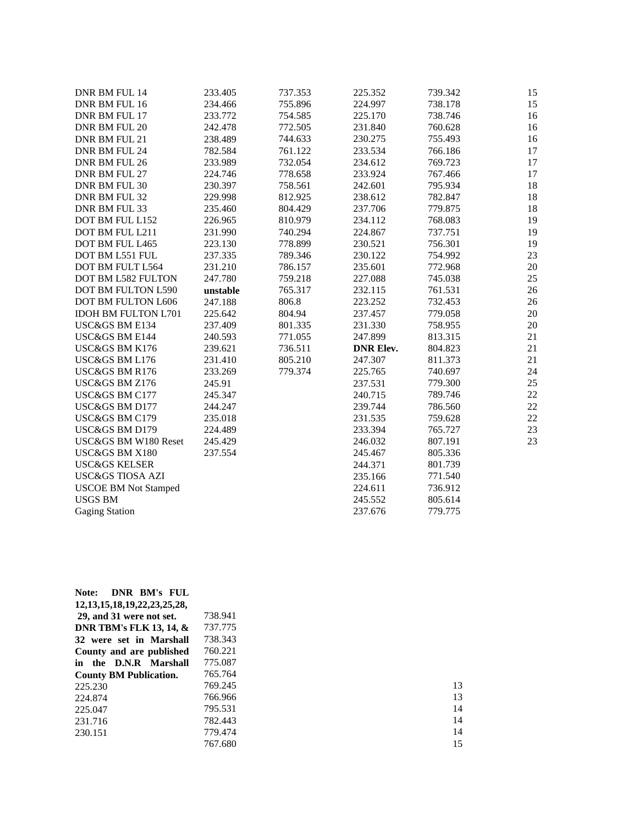| DNR BM FUL 14               | 233.405  | 737.353 | 225.352          | 739.342 | 15 |
|-----------------------------|----------|---------|------------------|---------|----|
| DNR BM FUL 16               | 234.466  | 755.896 | 224.997          | 738.178 | 15 |
| DNR BM FUL 17               | 233.772  | 754.585 | 225.170          | 738.746 | 16 |
| DNR BM FUL 20               | 242.478  | 772.505 | 231.840          | 760.628 | 16 |
| DNR BM FUL 21               | 238.489  | 744.633 | 230.275          | 755.493 | 16 |
| DNR BM FUL 24               | 782.584  | 761.122 | 233.534          | 766.186 | 17 |
| DNR BM FUL 26               | 233.989  | 732.054 | 234.612          | 769.723 | 17 |
| DNR BM FUL 27               | 224.746  | 778.658 | 233.924          | 767.466 | 17 |
| DNR BM FUL 30               | 230.397  | 758.561 | 242.601          | 795.934 | 18 |
| DNR BM FUL 32               | 229.998  | 812.925 | 238.612          | 782.847 | 18 |
| DNR BM FUL 33               | 235.460  | 804.429 | 237.706          | 779.875 | 18 |
| DOT BM FUL L152             | 226.965  | 810.979 | 234.112          | 768.083 | 19 |
| DOT BM FUL L211             | 231.990  | 740.294 | 224.867          | 737.751 | 19 |
| DOT BM FUL L465             | 223.130  | 778.899 | 230.521          | 756.301 | 19 |
| DOT BM L551 FUL             | 237.335  | 789.346 | 230.122          | 754.992 | 23 |
| DOT BM FULT L564            | 231.210  | 786.157 | 235.601          | 772.968 | 20 |
| DOT BM L582 FULTON          | 247.780  | 759.218 | 227.088          | 745.038 | 25 |
| <b>DOT BM FULTON L590</b>   | unstable | 765.317 | 232.115          | 761.531 | 26 |
| DOT BM FULTON L606          | 247.188  | 806.8   | 223.252          | 732.453 | 26 |
| <b>IDOH BM FULTON L701</b>  | 225.642  | 804.94  | 237.457          | 779.058 | 20 |
| USC&GS BM E134              | 237.409  | 801.335 | 231.330          | 758.955 | 20 |
| <b>USC&amp;GS BM E144</b>   | 240.593  | 771.055 | 247.899          | 813.315 | 21 |
| USC&GS BM K176              | 239.621  | 736.511 | <b>DNR Elev.</b> | 804.823 | 21 |
| USC&GS BM L176              | 231.410  | 805.210 | 247.307          | 811.373 | 21 |
| USC&GS BM R176              | 233.269  | 779.374 | 225.765          | 740.697 | 24 |
| USC&GS BM Z176              | 245.91   |         | 237.531          | 779.300 | 25 |
| USC&GS BM C177              | 245.347  |         | 240.715          | 789.746 | 22 |
| USC&GS BM D177              | 244.247  |         | 239.744          | 786.560 | 22 |
| USC&GS BM C179              | 235.018  |         | 231.535          | 759.628 | 22 |
| USC&GS BM D179              | 224.489  |         | 233.394          | 765.727 | 23 |
| USC&GS BM W180 Reset        | 245.429  |         | 246.032          | 807.191 | 23 |
| USC&GS BM X180              | 237.554  |         | 245.467          | 805.336 |    |
| <b>USC&amp;GS KELSER</b>    |          |         | 244.371          | 801.739 |    |
| <b>USC&amp;GS TIOSA AZI</b> |          |         | 235.166          | 771.540 |    |
| <b>USCOE BM Not Stamped</b> |          |         | 224.611          | 736.912 |    |
| <b>USGS BM</b>              |          |         | 245.552          | 805.614 |    |
| <b>Gaging Station</b>       |          |         | 237.676          | 779.775 |    |

| 738.941 |  |
|---------|--|
| 737.775 |  |
| 738.343 |  |
| 760.221 |  |
| 775.087 |  |
| 765.764 |  |
| 769.245 |  |
| 766.966 |  |
| 795.531 |  |
| 782.443 |  |
| 779.474 |  |
| 767.680 |  |
|         |  |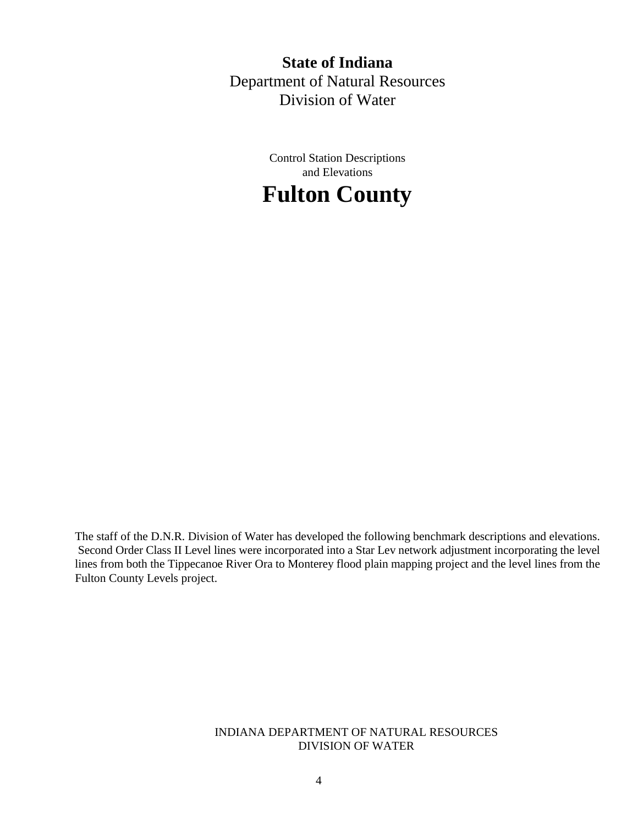**State of Indiana** Department of Natural Resources Division of Water

> Control Station Descriptions and Elevations



The staff of the D.N.R. Division of Water has developed the following benchmark descriptions and elevations. Second Order Class II Level lines were incorporated into a Star Lev network adjustment incorporating the level lines from both the Tippecanoe River Ora to Monterey flood plain mapping project and the level lines from the Fulton County Levels project.

> INDIANA DEPARTMENT OF NATURAL RESOURCES DIVISION OF WATER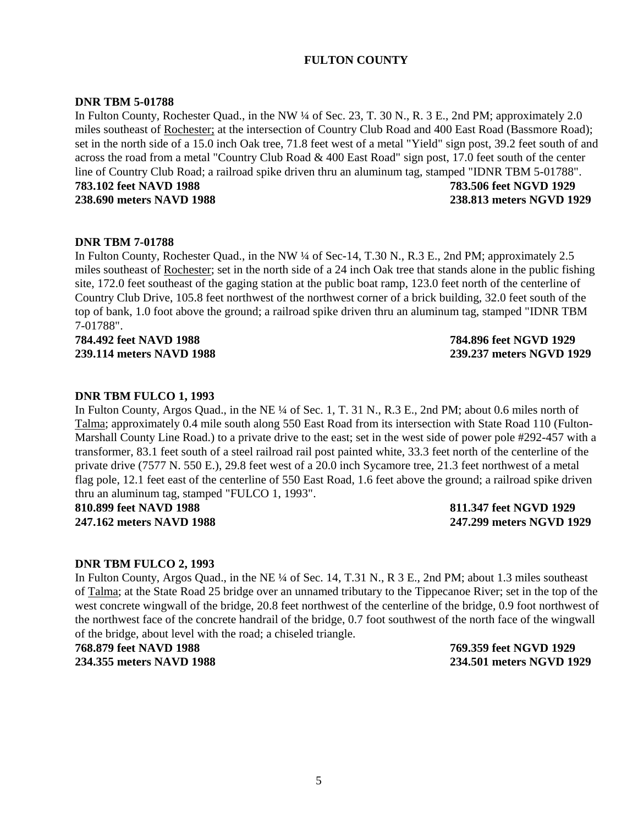# **FULTON COUNTY**

### **DNR TBM 5-01788**

In Fulton County, Rochester Quad., in the NW ¼ of Sec. 23, T. 30 N., R. 3 E., 2nd PM; approximately 2.0 miles southeast of Rochester; at the intersection of Country Club Road and 400 East Road (Bassmore Road); set in the north side of a 15.0 inch Oak tree, 71.8 feet west of a metal "Yield" sign post, 39.2 feet south of and across the road from a metal "Country Club Road & 400 East Road" sign post, 17.0 feet south of the center line of Country Club Road; a railroad spike driven thru an aluminum tag, stamped "IDNR TBM 5-01788". **783.102 feet NAVD 1988 783.506 feet NGVD 1929 238.690 meters NAVD 1988 238.813 meters NGVD 1929**

#### **DNR TBM 7-01788**

In Fulton County, Rochester Quad., in the NW ¼ of Sec-14, T.30 N., R.3 E., 2nd PM; approximately 2.5 miles southeast of Rochester; set in the north side of a 24 inch Oak tree that stands alone in the public fishing site, 172.0 feet southeast of the gaging station at the public boat ramp, 123.0 feet north of the centerline of Country Club Drive, 105.8 feet northwest of the northwest corner of a brick building, 32.0 feet south of the top of bank, 1.0 foot above the ground; a railroad spike driven thru an aluminum tag, stamped "IDNR TBM 7-01788".

**784.492 feet NAVD 1988 784.896 feet NGVD 1929**

**239.114 meters NAVD 1988 239.237 meters NGVD 1929**

#### **DNR TBM FULCO 1, 1993**

In Fulton County, Argos Quad., in the NE ¼ of Sec. 1, T. 31 N., R.3 E., 2nd PM; about 0.6 miles north of Talma; approximately 0.4 mile south along 550 East Road from its intersection with State Road 110 (Fulton-Marshall County Line Road.) to a private drive to the east; set in the west side of power pole #292-457 with a transformer, 83.1 feet south of a steel railroad rail post painted white, 33.3 feet north of the centerline of the private drive (7577 N. 550 E.), 29.8 feet west of a 20.0 inch Sycamore tree, 21.3 feet northwest of a metal flag pole, 12.1 feet east of the centerline of 550 East Road, 1.6 feet above the ground; a railroad spike driven thru an aluminum tag, stamped "FULCO 1, 1993".

**810.899 feet NAVD 1988 811.347 feet NGVD 1929**

**247.162 meters NAVD 1988 247.299 meters NGVD 1929**

#### **DNR TBM FULCO 2, 1993**

In Fulton County, Argos Quad., in the NE ¼ of Sec. 14, T.31 N., R 3 E., 2nd PM; about 1.3 miles southeast of Talma; at the State Road 25 bridge over an unnamed tributary to the Tippecanoe River; set in the top of the west concrete wingwall of the bridge, 20.8 feet northwest of the centerline of the bridge, 0.9 foot northwest of the northwest face of the concrete handrail of the bridge, 0.7 foot southwest of the north face of the wingwall of the bridge, about level with the road; a chiseled triangle.

**768.879 feet NAVD 1988 769.359 feet NGVD 1929**

**234.355 meters NAVD 1988 234.501 meters NGVD 1929**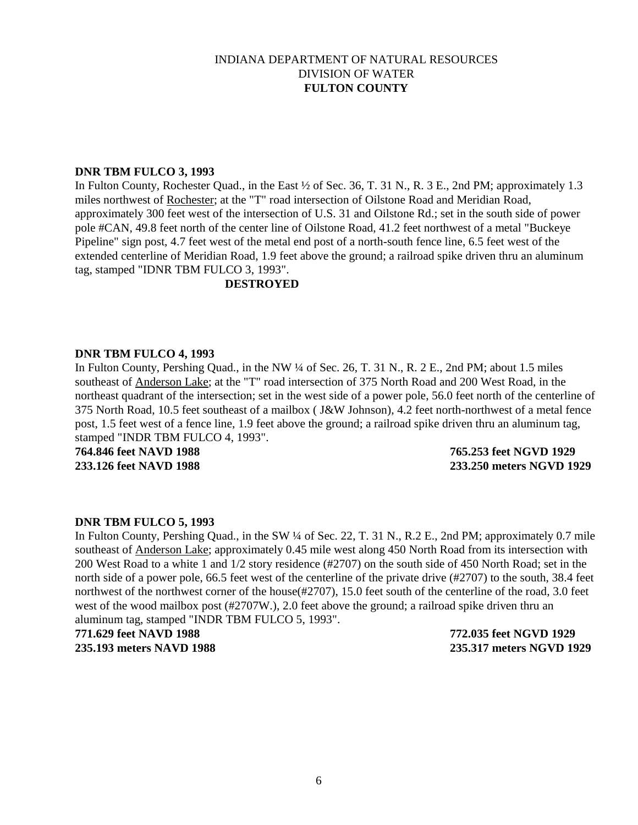### **DNR TBM FULCO 3, 1993**

In Fulton County, Rochester Quad., in the East ½ of Sec. 36, T. 31 N., R. 3 E., 2nd PM; approximately 1.3 miles northwest of Rochester; at the "T" road intersection of Oilstone Road and Meridian Road, approximately 300 feet west of the intersection of U.S. 31 and Oilstone Rd.; set in the south side of power pole #CAN, 49.8 feet north of the center line of Oilstone Road, 41.2 feet northwest of a metal "Buckeye Pipeline" sign post, 4.7 feet west of the metal end post of a north-south fence line, 6.5 feet west of the extended centerline of Meridian Road, 1.9 feet above the ground; a railroad spike driven thru an aluminum tag, stamped "IDNR TBM FULCO 3, 1993".

### **DESTROYED**

#### **DNR TBM FULCO 4, 1993**

In Fulton County, Pershing Quad., in the NW ¼ of Sec. 26, T. 31 N., R. 2 E., 2nd PM; about 1.5 miles southeast of Anderson Lake; at the "T" road intersection of 375 North Road and 200 West Road, in the northeast quadrant of the intersection; set in the west side of a power pole, 56.0 feet north of the centerline of 375 North Road, 10.5 feet southeast of a mailbox ( J&W Johnson), 4.2 feet north-northwest of a metal fence post, 1.5 feet west of a fence line, 1.9 feet above the ground; a railroad spike driven thru an aluminum tag, stamped "INDR TBM FULCO 4, 1993".

**764.846 feet NAVD 1988 765.253 feet NGVD 1929**

# **233.126 feet NAVD 1988 233.250 meters NGVD 1929**

### **DNR TBM FULCO 5, 1993**

In Fulton County, Pershing Quad., in the SW ¼ of Sec. 22, T. 31 N., R.2 E., 2nd PM; approximately 0.7 mile southeast of Anderson Lake; approximately 0.45 mile west along 450 North Road from its intersection with 200 West Road to a white 1 and 1/2 story residence (#2707) on the south side of 450 North Road; set in the north side of a power pole, 66.5 feet west of the centerline of the private drive (#2707) to the south, 38.4 feet northwest of the northwest corner of the house(#2707), 15.0 feet south of the centerline of the road, 3.0 feet west of the wood mailbox post (#2707W.), 2.0 feet above the ground; a railroad spike driven thru an aluminum tag, stamped "INDR TBM FULCO 5, 1993".

**771.629 feet NAVD 1988 772.035 feet NGVD 1929 235.193 meters NAVD 1988 235.317 meters NGVD 1929**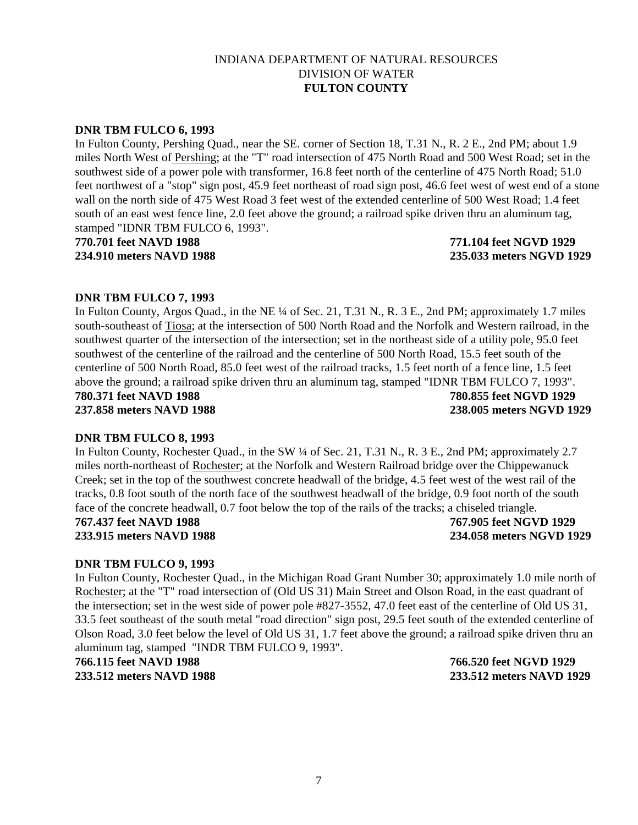# **DNR TBM FULCO 6, 1993**

In Fulton County, Pershing Quad., near the SE. corner of Section 18, T.31 N., R. 2 E., 2nd PM; about 1.9 miles North West of Pershing; at the "T" road intersection of 475 North Road and 500 West Road; set in the southwest side of a power pole with transformer, 16.8 feet north of the centerline of 475 North Road; 51.0 feet northwest of a "stop" sign post, 45.9 feet northeast of road sign post, 46.6 feet west of west end of a stone wall on the north side of 475 West Road 3 feet west of the extended centerline of 500 West Road; 1.4 feet south of an east west fence line, 2.0 feet above the ground; a railroad spike driven thru an aluminum tag, stamped "IDNR TBM FULCO 6, 1993".

**770.701 feet NAVD 1988 771.104 feet NGVD 1929 234.910 meters NAVD 1988 235.033 meters NGVD 1929**

# **DNR TBM FULCO 7, 1993**

In Fulton County, Argos Quad., in the NE ¼ of Sec. 21, T.31 N., R. 3 E., 2nd PM; approximately 1.7 miles south-southeast of Tiosa; at the intersection of 500 North Road and the Norfolk and Western railroad, in the southwest quarter of the intersection of the intersection; set in the northeast side of a utility pole, 95.0 feet southwest of the centerline of the railroad and the centerline of 500 North Road, 15.5 feet south of the centerline of 500 North Road, 85.0 feet west of the railroad tracks, 1.5 feet north of a fence line, 1.5 feet above the ground; a railroad spike driven thru an aluminum tag, stamped "IDNR TBM FULCO 7, 1993". **780.371 feet NAVD 1988 780.855 feet NGVD 1929 237.858 meters NAVD 1988 238.005 meters NGVD 1929**

### **DNR TBM FULCO 8, 1993**

In Fulton County, Rochester Quad., in the SW ¼ of Sec. 21, T.31 N., R. 3 E., 2nd PM; approximately 2.7 miles north-northeast of Rochester; at the Norfolk and Western Railroad bridge over the Chippewanuck Creek; set in the top of the southwest concrete headwall of the bridge, 4.5 feet west of the west rail of the tracks, 0.8 foot south of the north face of the southwest headwall of the bridge, 0.9 foot north of the south face of the concrete headwall, 0.7 foot below the top of the rails of the tracks; a chiseled triangle.

**767.437 feet NAVD 1988 767.905 feet NGVD 1929 233.915 meters NAVD 1988 234.058 meters NGVD 1929**

### **DNR TBM FULCO 9, 1993**

In Fulton County, Rochester Quad., in the Michigan Road Grant Number 30; approximately 1.0 mile north of Rochester; at the "T" road intersection of (Old US 31) Main Street and Olson Road, in the east quadrant of the intersection; set in the west side of power pole #827-3552, 47.0 feet east of the centerline of Old US 31, 33.5 feet southeast of the south metal "road direction" sign post, 29.5 feet south of the extended centerline of Olson Road, 3.0 feet below the level of Old US 31, 1.7 feet above the ground; a railroad spike driven thru an aluminum tag, stamped "INDR TBM FULCO 9, 1993".

**766.115 feet NAVD 1988 766.520 feet NGVD 1929**

**233.512 meters NAVD 1988 233.512 meters NAVD 1929**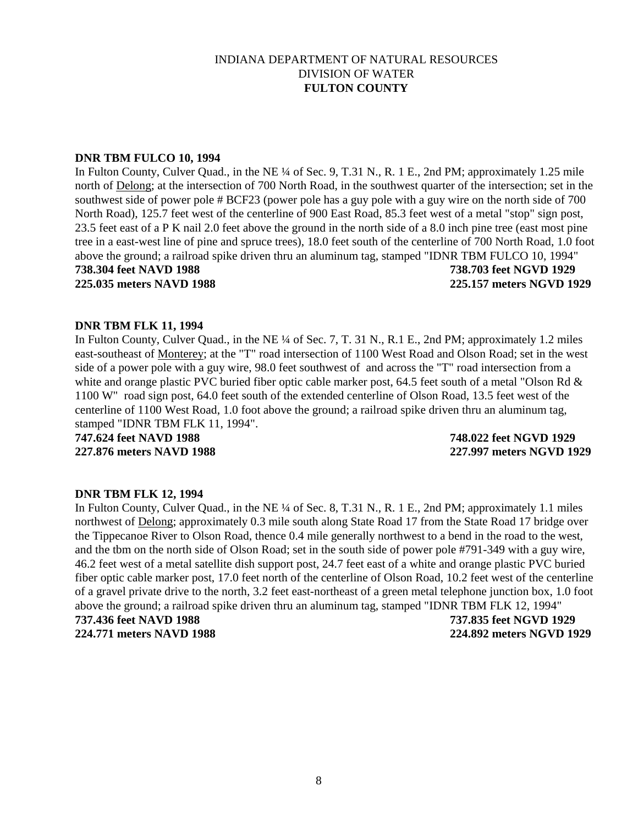### **DNR TBM FULCO 10, 1994**

In Fulton County, Culver Quad., in the NE ¼ of Sec. 9, T.31 N., R. 1 E., 2nd PM; approximately 1.25 mile north of Delong; at the intersection of 700 North Road, in the southwest quarter of the intersection; set in the southwest side of power pole # BCF23 (power pole has a guy pole with a guy wire on the north side of 700 North Road), 125.7 feet west of the centerline of 900 East Road, 85.3 feet west of a metal "stop" sign post, 23.5 feet east of a P K nail 2.0 feet above the ground in the north side of a 8.0 inch pine tree (east most pine tree in a east-west line of pine and spruce trees), 18.0 feet south of the centerline of 700 North Road, 1.0 foot above the ground; a railroad spike driven thru an aluminum tag, stamped "IDNR TBM FULCO 10, 1994"

**738.304 feet NAVD 1988 738.703 feet NGVD 1929**

**225.035 meters NAVD 1988 225.157 meters NGVD 1929**

# **DNR TBM FLK 11, 1994**

In Fulton County, Culver Quad., in the NE ¼ of Sec. 7, T. 31 N., R.1 E., 2nd PM; approximately 1.2 miles east-southeast of Monterey; at the "T" road intersection of 1100 West Road and Olson Road; set in the west side of a power pole with a guy wire, 98.0 feet southwest of and across the "T" road intersection from a white and orange plastic PVC buried fiber optic cable marker post, 64.5 feet south of a metal "Olson Rd & 1100 W" road sign post, 64.0 feet south of the extended centerline of Olson Road, 13.5 feet west of the centerline of 1100 West Road, 1.0 foot above the ground; a railroad spike driven thru an aluminum tag, stamped "IDNR TBM FLK 11, 1994".

**747.624 feet NAVD 1988 748.022 feet NGVD 1929**

**227.876 meters NAVD 1988 227.997 meters NGVD 1929**

### **DNR TBM FLK 12, 1994**

In Fulton County, Culver Quad., in the NE ¼ of Sec. 8, T.31 N., R. 1 E., 2nd PM; approximately 1.1 miles northwest of Delong; approximately 0.3 mile south along State Road 17 from the State Road 17 bridge over the Tippecanoe River to Olson Road, thence 0.4 mile generally northwest to a bend in the road to the west, and the tbm on the north side of Olson Road; set in the south side of power pole #791-349 with a guy wire, 46.2 feet west of a metal satellite dish support post, 24.7 feet east of a white and orange plastic PVC buried fiber optic cable marker post, 17.0 feet north of the centerline of Olson Road, 10.2 feet west of the centerline of a gravel private drive to the north, 3.2 feet east-northeast of a green metal telephone junction box, 1.0 foot above the ground; a railroad spike driven thru an aluminum tag, stamped "IDNR TBM FLK 12, 1994" **737.436 feet NAVD 1988 737.835 feet NGVD 1929 224.771 meters NAVD 1988 224.892 meters NGVD 1929**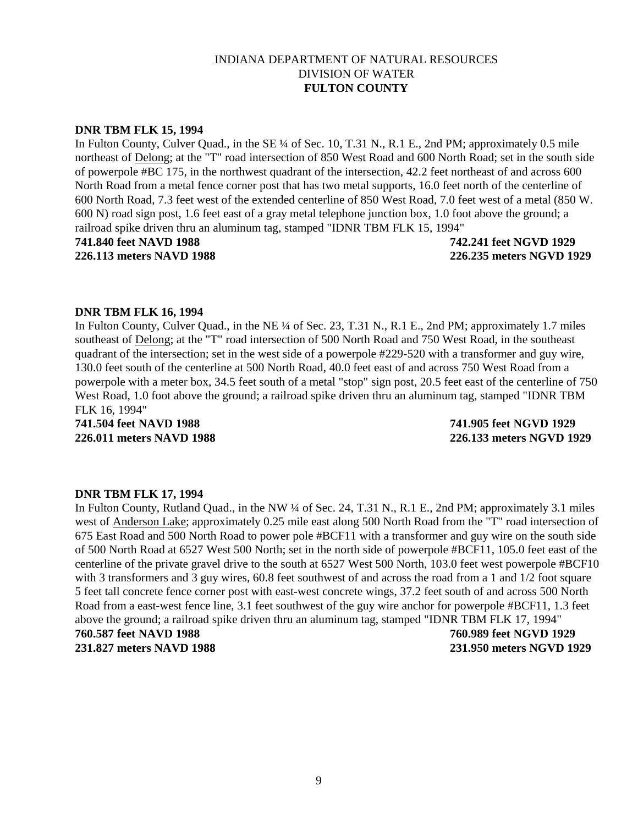#### **DNR TBM FLK 15, 1994**

In Fulton County, Culver Quad., in the SE ¼ of Sec. 10, T.31 N., R.1 E., 2nd PM; approximately 0.5 mile northeast of Delong; at the "T" road intersection of 850 West Road and 600 North Road; set in the south side of powerpole #BC 175, in the northwest quadrant of the intersection, 42.2 feet northeast of and across 600 North Road from a metal fence corner post that has two metal supports, 16.0 feet north of the centerline of 600 North Road, 7.3 feet west of the extended centerline of 850 West Road, 7.0 feet west of a metal (850 W. 600 N) road sign post, 1.6 feet east of a gray metal telephone junction box, 1.0 foot above the ground; a railroad spike driven thru an aluminum tag, stamped "IDNR TBM FLK 15, 1994"

**741.840 feet NAVD 1988 742.241 feet NGVD 1929 226.113 meters NAVD 1988 226.235 meters NGVD 1929**

#### **DNR TBM FLK 16, 1994**

In Fulton County, Culver Quad., in the NE ¼ of Sec. 23, T.31 N., R.1 E., 2nd PM; approximately 1.7 miles southeast of Delong; at the "T" road intersection of 500 North Road and 750 West Road, in the southeast quadrant of the intersection; set in the west side of a powerpole #229-520 with a transformer and guy wire, 130.0 feet south of the centerline at 500 North Road, 40.0 feet east of and across 750 West Road from a powerpole with a meter box, 34.5 feet south of a metal "stop" sign post, 20.5 feet east of the centerline of 750 West Road, 1.0 foot above the ground; a railroad spike driven thru an aluminum tag, stamped "IDNR TBM FLK 16, 1994"

**741.504 feet NAVD 1988 741.905 feet NGVD 1929 226.011 meters NAVD 1988 226.133 meters NGVD 1929**

#### **DNR TBM FLK 17, 1994**

In Fulton County, Rutland Quad., in the NW ¼ of Sec. 24, T.31 N., R.1 E., 2nd PM; approximately 3.1 miles west of Anderson Lake; approximately 0.25 mile east along 500 North Road from the "T" road intersection of 675 East Road and 500 North Road to power pole #BCF11 with a transformer and guy wire on the south side of 500 North Road at 6527 West 500 North; set in the north side of powerpole #BCF11, 105.0 feet east of the centerline of the private gravel drive to the south at 6527 West 500 North, 103.0 feet west powerpole #BCF10 with 3 transformers and 3 guy wires, 60.8 feet southwest of and across the road from a 1 and  $1/2$  foot square 5 feet tall concrete fence corner post with east-west concrete wings, 37.2 feet south of and across 500 North Road from a east-west fence line, 3.1 feet southwest of the guy wire anchor for powerpole #BCF11, 1.3 feet above the ground; a railroad spike driven thru an aluminum tag, stamped "IDNR TBM FLK 17, 1994" **760.587 feet NAVD 1988 760.989 feet NGVD 1929 231.827 meters NAVD 1988 231.950 meters NGVD 1929**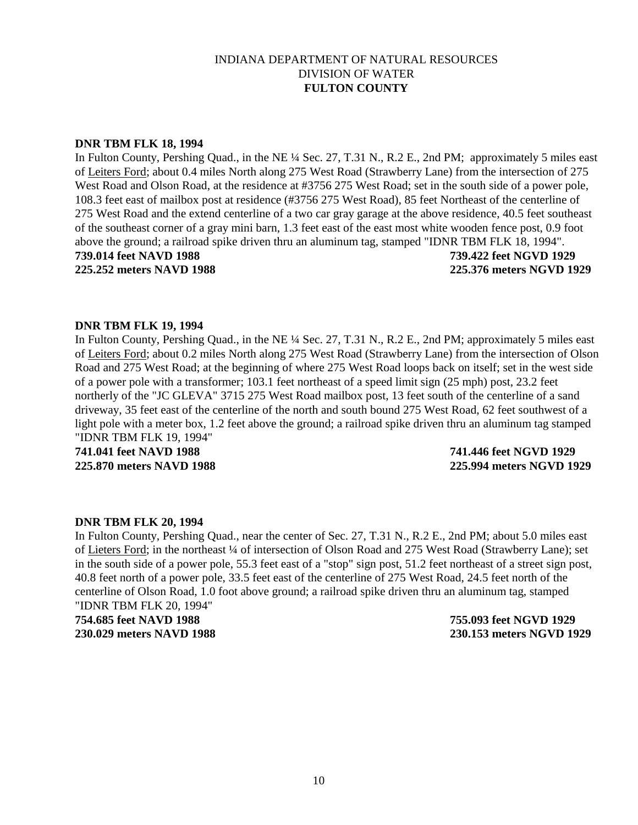#### **DNR TBM FLK 18, 1994**

In Fulton County, Pershing Quad., in the NE ¼ Sec. 27, T.31 N., R.2 E., 2nd PM; approximately 5 miles east of Leiters Ford; about 0.4 miles North along 275 West Road (Strawberry Lane) from the intersection of 275 West Road and Olson Road, at the residence at #3756 275 West Road; set in the south side of a power pole, 108.3 feet east of mailbox post at residence (#3756 275 West Road), 85 feet Northeast of the centerline of 275 West Road and the extend centerline of a two car gray garage at the above residence, 40.5 feet southeast of the southeast corner of a gray mini barn, 1.3 feet east of the east most white wooden fence post, 0.9 foot above the ground; a railroad spike driven thru an aluminum tag, stamped "IDNR TBM FLK 18, 1994". **739.014 feet NAVD 1988 739.422 feet NGVD 1929 225.252 meters NAVD 1988 225.376 meters NGVD 1929**

#### **DNR TBM FLK 19, 1994**

In Fulton County, Pershing Quad., in the NE ¼ Sec. 27, T.31 N., R.2 E., 2nd PM; approximately 5 miles east of Leiters Ford; about 0.2 miles North along 275 West Road (Strawberry Lane) from the intersection of Olson Road and 275 West Road; at the beginning of where 275 West Road loops back on itself; set in the west side of a power pole with a transformer; 103.1 feet northeast of a speed limit sign (25 mph) post, 23.2 feet northerly of the "JC GLEVA" 3715 275 West Road mailbox post, 13 feet south of the centerline of a sand driveway, 35 feet east of the centerline of the north and south bound 275 West Road, 62 feet southwest of a light pole with a meter box, 1.2 feet above the ground; a railroad spike driven thru an aluminum tag stamped "IDNR TBM FLK 19, 1994"

**741.041 feet NAVD 1988 741.446 feet NGVD 1929**

**225.870 meters NAVD 1988 225.994 meters NGVD 1929**

#### **DNR TBM FLK 20, 1994**

In Fulton County, Pershing Quad., near the center of Sec. 27, T.31 N., R.2 E., 2nd PM; about 5.0 miles east of Lieters Ford; in the northeast ¼ of intersection of Olson Road and 275 West Road (Strawberry Lane); set in the south side of a power pole, 55.3 feet east of a "stop" sign post, 51.2 feet northeast of a street sign post, 40.8 feet north of a power pole, 33.5 feet east of the centerline of 275 West Road, 24.5 feet north of the centerline of Olson Road, 1.0 foot above ground; a railroad spike driven thru an aluminum tag, stamped "IDNR TBM FLK 20, 1994"

**754.685 feet NAVD 1988 755.093 feet NGVD 1929 230.029 meters NAVD 1988 230.153 meters NGVD 1929**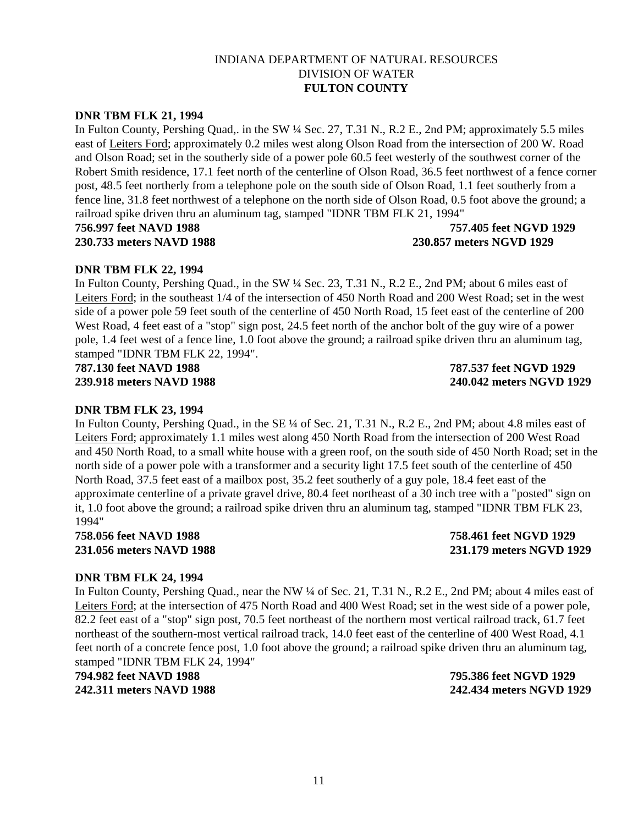# **DNR TBM FLK 21, 1994**

In Fulton County, Pershing Quad,. in the SW ¼ Sec. 27, T.31 N., R.2 E., 2nd PM; approximately 5.5 miles east of Leiters Ford; approximately 0.2 miles west along Olson Road from the intersection of 200 W. Road and Olson Road; set in the southerly side of a power pole 60.5 feet westerly of the southwest corner of the Robert Smith residence, 17.1 feet north of the centerline of Olson Road, 36.5 feet northwest of a fence corner post, 48.5 feet northerly from a telephone pole on the south side of Olson Road, 1.1 feet southerly from a fence line, 31.8 feet northwest of a telephone on the north side of Olson Road, 0.5 foot above the ground; a railroad spike driven thru an aluminum tag, stamped "IDNR TBM FLK 21, 1994"

### **756.997 feet NAVD 1988 757.405 feet NGVD 1929 230.733 meters NAVD 1988 230.857 meters NGVD 1929**

# **DNR TBM FLK 22, 1994**

In Fulton County, Pershing Quad., in the SW ¼ Sec. 23, T.31 N., R.2 E., 2nd PM; about 6 miles east of Leiters Ford; in the southeast 1/4 of the intersection of 450 North Road and 200 West Road; set in the west side of a power pole 59 feet south of the centerline of 450 North Road, 15 feet east of the centerline of 200 West Road, 4 feet east of a "stop" sign post, 24.5 feet north of the anchor bolt of the guy wire of a power pole, 1.4 feet west of a fence line, 1.0 foot above the ground; a railroad spike driven thru an aluminum tag, stamped "IDNR TBM FLK 22, 1994".

**787.130 feet NAVD 1988 787.537 feet NGVD 1929**

**239.918 meters NAVD 1988 240.042 meters NGVD 1929**

# **DNR TBM FLK 23, 1994**

In Fulton County, Pershing Quad., in the SE ¼ of Sec. 21, T.31 N., R.2 E., 2nd PM; about 4.8 miles east of Leiters Ford; approximately 1.1 miles west along 450 North Road from the intersection of 200 West Road and 450 North Road, to a small white house with a green roof, on the south side of 450 North Road; set in the north side of a power pole with a transformer and a security light 17.5 feet south of the centerline of 450 North Road, 37.5 feet east of a mailbox post, 35.2 feet southerly of a guy pole, 18.4 feet east of the approximate centerline of a private gravel drive, 80.4 feet northeast of a 30 inch tree with a "posted" sign on it, 1.0 foot above the ground; a railroad spike driven thru an aluminum tag, stamped "IDNR TBM FLK 23, 1994"

**758.056 feet NAVD 1988 758.461 feet NGVD 1929 231.056 meters NAVD 1988 231.179 meters NGVD 1929**

### **DNR TBM FLK 24, 1994**

In Fulton County, Pershing Quad., near the NW ¼ of Sec. 21, T.31 N., R.2 E., 2nd PM; about 4 miles east of Leiters Ford; at the intersection of 475 North Road and 400 West Road; set in the west side of a power pole, 82.2 feet east of a "stop" sign post, 70.5 feet northeast of the northern most vertical railroad track, 61.7 feet northeast of the southern-most vertical railroad track, 14.0 feet east of the centerline of 400 West Road, 4.1 feet north of a concrete fence post, 1.0 foot above the ground; a railroad spike driven thru an aluminum tag, stamped "IDNR TBM FLK 24, 1994"

**794.982 feet NAVD 1988 795.386 feet NGVD 1929 242.311 meters NAVD 1988 242.434 meters NGVD 1929**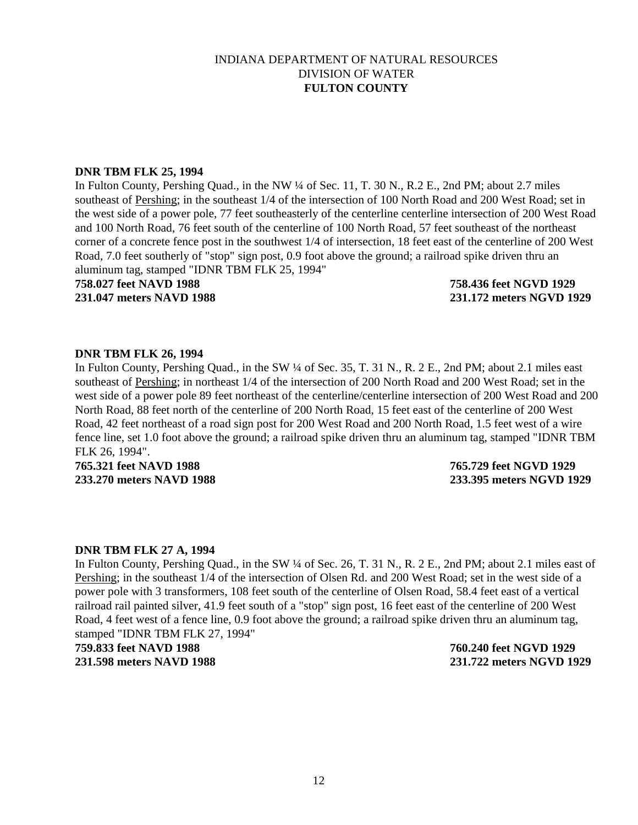## **DNR TBM FLK 25, 1994**

In Fulton County, Pershing Quad., in the NW ¼ of Sec. 11, T. 30 N., R.2 E., 2nd PM; about 2.7 miles southeast of Pershing; in the southeast 1/4 of the intersection of 100 North Road and 200 West Road; set in the west side of a power pole, 77 feet southeasterly of the centerline centerline intersection of 200 West Road and 100 North Road, 76 feet south of the centerline of 100 North Road, 57 feet southeast of the northeast corner of a concrete fence post in the southwest 1/4 of intersection, 18 feet east of the centerline of 200 West Road, 7.0 feet southerly of "stop" sign post, 0.9 foot above the ground; a railroad spike driven thru an aluminum tag, stamped "IDNR TBM FLK 25, 1994"

# **758.027 feet NAVD 1988 758.436 feet NGVD 1929**

**231.047 meters NAVD 1988 231.172 meters NGVD 1929**

### **DNR TBM FLK 26, 1994**

In Fulton County, Pershing Quad., in the SW ¼ of Sec. 35, T. 31 N., R. 2 E., 2nd PM; about 2.1 miles east southeast of Pershing; in northeast 1/4 of the intersection of 200 North Road and 200 West Road; set in the west side of a power pole 89 feet northeast of the centerline/centerline intersection of 200 West Road and 200 North Road, 88 feet north of the centerline of 200 North Road, 15 feet east of the centerline of 200 West Road, 42 feet northeast of a road sign post for 200 West Road and 200 North Road, 1.5 feet west of a wire fence line, set 1.0 foot above the ground; a railroad spike driven thru an aluminum tag, stamped "IDNR TBM FLK 26, 1994".

**765.321 feet NAVD 1988 765.729 feet NGVD 1929**

**233.270 meters NAVD 1988 233.395 meters NGVD 1929**

### **DNR TBM FLK 27 A, 1994**

In Fulton County, Pershing Quad., in the SW ¼ of Sec. 26, T. 31 N., R. 2 E., 2nd PM; about 2.1 miles east of Pershing; in the southeast 1/4 of the intersection of Olsen Rd. and 200 West Road; set in the west side of a power pole with 3 transformers, 108 feet south of the centerline of Olsen Road, 58.4 feet east of a vertical railroad rail painted silver, 41.9 feet south of a "stop" sign post, 16 feet east of the centerline of 200 West Road, 4 feet west of a fence line, 0.9 foot above the ground; a railroad spike driven thru an aluminum tag, stamped "IDNR TBM FLK 27, 1994"

# **759.833 feet NAVD 1988 760.240 feet NGVD 1929 231.598 meters NAVD 1988 231.722 meters NGVD 1929**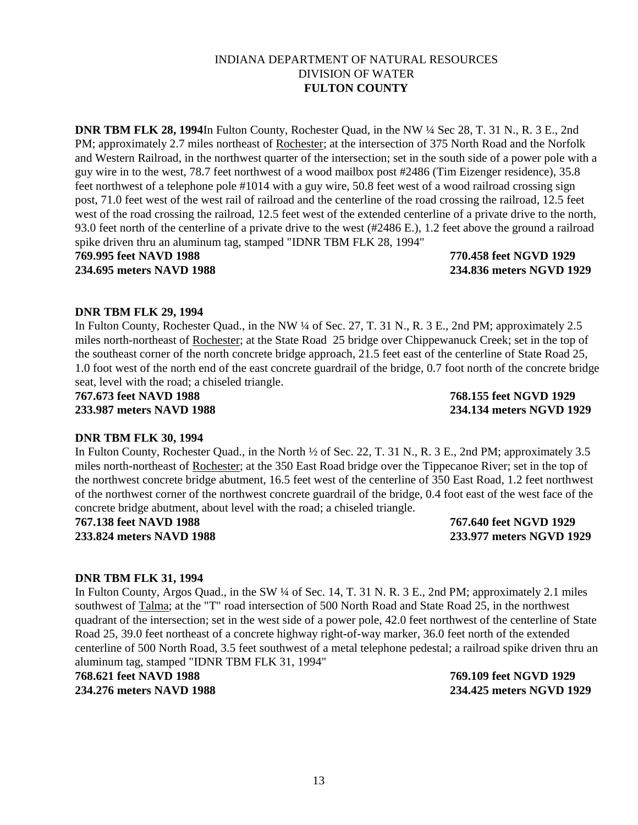# 13

## INDIANA DEPARTMENT OF NATURAL RESOURCES DIVISION OF WATER **FULTON COUNTY**

**DNR TBM FLK 28, 1994**In Fulton County, Rochester Quad, in the NW ¼ Sec 28, T. 31 N., R. 3 E., 2nd PM; approximately 2.7 miles northeast of Rochester; at the intersection of 375 North Road and the Norfolk and Western Railroad, in the northwest quarter of the intersection; set in the south side of a power pole with a guy wire in to the west, 78.7 feet northwest of a wood mailbox post #2486 (Tim Eizenger residence), 35.8 feet northwest of a telephone pole #1014 with a guy wire, 50.8 feet west of a wood railroad crossing sign post, 71.0 feet west of the west rail of railroad and the centerline of the road crossing the railroad, 12.5 feet west of the road crossing the railroad, 12.5 feet west of the extended centerline of a private drive to the north, 93.0 feet north of the centerline of a private drive to the west (#2486 E.), 1.2 feet above the ground a railroad spike driven thru an aluminum tag, stamped "IDNR TBM FLK 28, 1994" **769.995 feet NAVD 1988 770.458 feet NGVD 1929**

**234.695 meters NAVD 1988 234.836 meters NGVD 1929**

# **DNR TBM FLK 29, 1994**

In Fulton County, Rochester Quad., in the NW ¼ of Sec. 27, T. 31 N., R. 3 E., 2nd PM; approximately 2.5 miles north-northeast of Rochester; at the State Road 25 bridge over Chippewanuck Creek; set in the top of the southeast corner of the north concrete bridge approach, 21.5 feet east of the centerline of State Road 25, 1.0 foot west of the north end of the east concrete guardrail of the bridge, 0.7 foot north of the concrete bridge seat, level with the road; a chiseled triangle.

**767.673 feet NAVD 1988 768.155 feet NGVD 1929**

**233.987 meters NAVD 1988 234.134 meters NGVD 1929**

# **DNR TBM FLK 30, 1994**

In Fulton County, Rochester Quad., in the North ½ of Sec. 22, T. 31 N., R. 3 E., 2nd PM; approximately 3.5 miles north-northeast of Rochester; at the 350 East Road bridge over the Tippecanoe River; set in the top of the northwest concrete bridge abutment, 16.5 feet west of the centerline of 350 East Road, 1.2 feet northwest of the northwest corner of the northwest concrete guardrail of the bridge, 0.4 foot east of the west face of the concrete bridge abutment, about level with the road; a chiseled triangle.

**767.138 feet NAVD 1988 767.640 feet NGVD 1929**

**233.824 meters NAVD 1988 233.977 meters NGVD 1929**

# **DNR TBM FLK 31, 1994**

In Fulton County, Argos Quad., in the SW ¼ of Sec. 14, T. 31 N. R. 3 E., 2nd PM; approximately 2.1 miles southwest of Talma; at the "T" road intersection of 500 North Road and State Road 25, in the northwest quadrant of the intersection; set in the west side of a power pole, 42.0 feet northwest of the centerline of State Road 25, 39.0 feet northeast of a concrete highway right-of-way marker, 36.0 feet north of the extended centerline of 500 North Road, 3.5 feet southwest of a metal telephone pedestal; a railroad spike driven thru an aluminum tag, stamped "IDNR TBM FLK 31, 1994"

**768.621 feet NAVD 1988 769.109 feet NGVD 1929 234.276 meters NAVD 1988 234.425 meters NGVD 1929**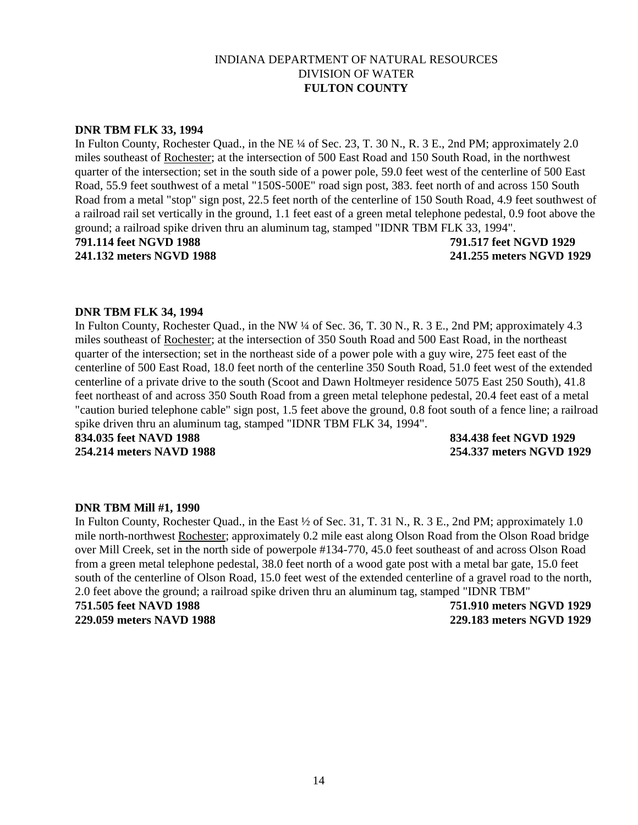### **DNR TBM FLK 33, 1994**

In Fulton County, Rochester Quad., in the NE ¼ of Sec. 23, T. 30 N., R. 3 E., 2nd PM; approximately 2.0 miles southeast of Rochester; at the intersection of 500 East Road and 150 South Road, in the northwest quarter of the intersection; set in the south side of a power pole, 59.0 feet west of the centerline of 500 East Road, 55.9 feet southwest of a metal "150S-500E" road sign post, 383. feet north of and across 150 South Road from a metal "stop" sign post, 22.5 feet north of the centerline of 150 South Road, 4.9 feet southwest of a railroad rail set vertically in the ground, 1.1 feet east of a green metal telephone pedestal, 0.9 foot above the ground; a railroad spike driven thru an aluminum tag, stamped "IDNR TBM FLK 33, 1994".

**791.114 feet NGVD 1988 791.517 feet NGVD 1929**

**241.132 meters NGVD 1988 241.255 meters NGVD 1929**

### **DNR TBM FLK 34, 1994**

In Fulton County, Rochester Quad., in the NW ¼ of Sec. 36, T. 30 N., R. 3 E., 2nd PM; approximately 4.3 miles southeast of Rochester; at the intersection of 350 South Road and 500 East Road, in the northeast quarter of the intersection; set in the northeast side of a power pole with a guy wire, 275 feet east of the centerline of 500 East Road, 18.0 feet north of the centerline 350 South Road, 51.0 feet west of the extended centerline of a private drive to the south (Scoot and Dawn Holtmeyer residence 5075 East 250 South), 41.8 feet northeast of and across 350 South Road from a green metal telephone pedestal, 20.4 feet east of a metal "caution buried telephone cable" sign post, 1.5 feet above the ground, 0.8 foot south of a fence line; a railroad spike driven thru an aluminum tag, stamped "IDNR TBM FLK 34, 1994".

**834.035 feet NAVD 1988 834.438 feet NGVD 1929 254.214 meters NAVD 1988 254.337 meters NGVD 1929**

### **DNR TBM Mill #1, 1990**

In Fulton County, Rochester Quad., in the East  $\frac{1}{2}$  of Sec. 31, T. 31 N., R. 3 E., 2nd PM; approximately 1.0 mile north-northwest Rochester; approximately 0.2 mile east along Olson Road from the Olson Road bridge over Mill Creek, set in the north side of powerpole #134-770, 45.0 feet southeast of and across Olson Road from a green metal telephone pedestal, 38.0 feet north of a wood gate post with a metal bar gate, 15.0 feet south of the centerline of Olson Road, 15.0 feet west of the extended centerline of a gravel road to the north, 2.0 feet above the ground; a railroad spike driven thru an aluminum tag, stamped "IDNR TBM"

**751.505 feet NAVD 1988 751.910 meters NGVD 1929 229.059 meters NAVD 1988 229.183 meters NGVD 1929**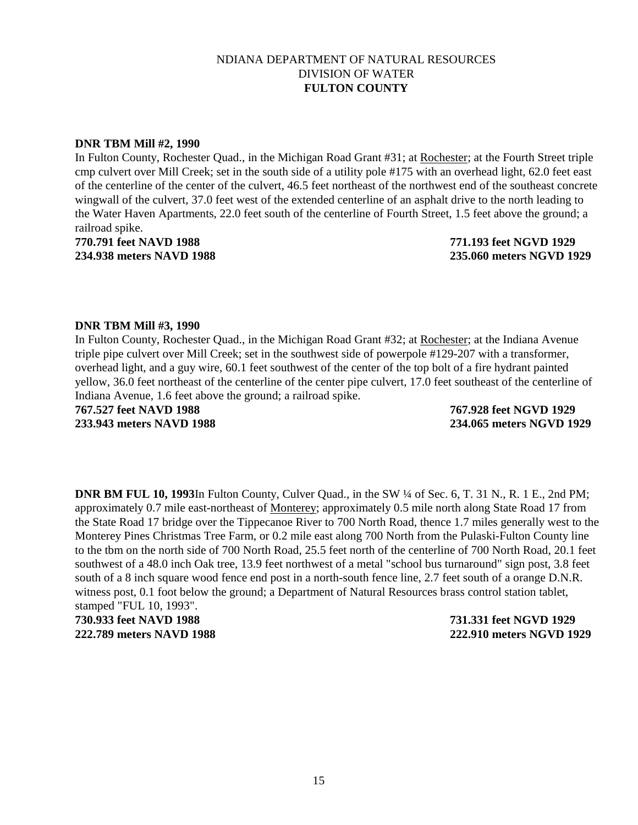#### **DNR TBM Mill #2, 1990**

In Fulton County, Rochester Quad., in the Michigan Road Grant #31; at Rochester; at the Fourth Street triple cmp culvert over Mill Creek; set in the south side of a utility pole #175 with an overhead light, 62.0 feet east of the centerline of the center of the culvert, 46.5 feet northeast of the northwest end of the southeast concrete wingwall of the culvert, 37.0 feet west of the extended centerline of an asphalt drive to the north leading to the Water Haven Apartments, 22.0 feet south of the centerline of Fourth Street, 1.5 feet above the ground; a railroad spike.

**770.791 feet NAVD 1988 771.193 feet NGVD 1929 234.938 meters NAVD 1988 235.060 meters NGVD 1929**

#### **DNR TBM Mill #3, 1990**

In Fulton County, Rochester Quad., in the Michigan Road Grant #32; at Rochester; at the Indiana Avenue triple pipe culvert over Mill Creek; set in the southwest side of powerpole #129-207 with a transformer, overhead light, and a guy wire, 60.1 feet southwest of the center of the top bolt of a fire hydrant painted yellow, 36.0 feet northeast of the centerline of the center pipe culvert, 17.0 feet southeast of the centerline of Indiana Avenue, 1.6 feet above the ground; a railroad spike.

**767.527 feet NAVD 1988 767.928 feet NGVD 1929 233.943 meters NAVD 1988 234.065 meters NGVD 1929**

**DNR BM FUL 10, 1993**In Fulton County, Culver Quad., in the SW ¼ of Sec. 6, T. 31 N., R. 1 E., 2nd PM; approximately 0.7 mile east-northeast of Monterey; approximately 0.5 mile north along State Road 17 from the State Road 17 bridge over the Tippecanoe River to 700 North Road, thence 1.7 miles generally west to the Monterey Pines Christmas Tree Farm, or 0.2 mile east along 700 North from the Pulaski-Fulton County line to the tbm on the north side of 700 North Road, 25.5 feet north of the centerline of 700 North Road, 20.1 feet southwest of a 48.0 inch Oak tree, 13.9 feet northwest of a metal "school bus turnaround" sign post, 3.8 feet south of a 8 inch square wood fence end post in a north-south fence line, 2.7 feet south of a orange D.N.R. witness post, 0.1 foot below the ground; a Department of Natural Resources brass control station tablet, stamped "FUL 10, 1993".

**730.933 feet NAVD 1988 731.331 feet NGVD 1929 222.789 meters NAVD 1988 222.910 meters NGVD 1929**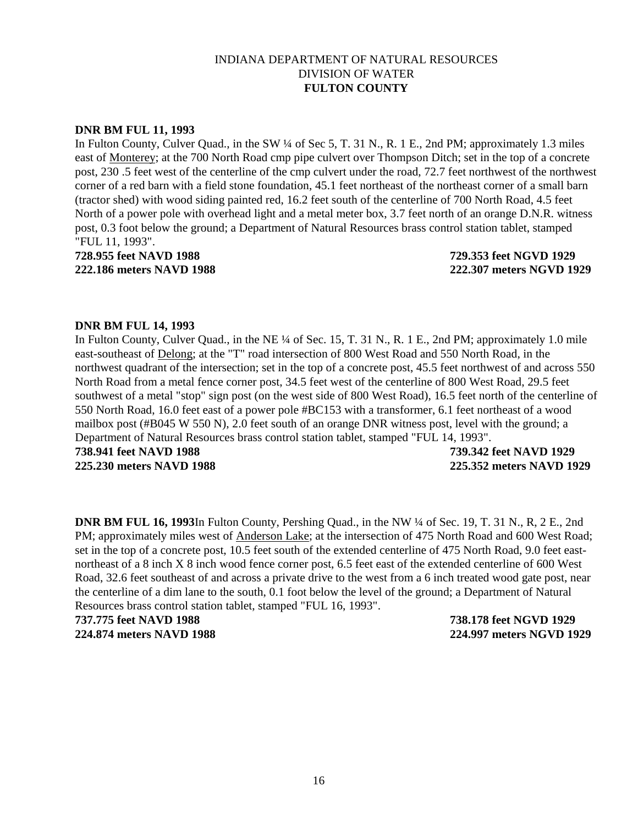#### **DNR BM FUL 11, 1993**

In Fulton County, Culver Quad., in the SW ¼ of Sec 5, T. 31 N., R. 1 E., 2nd PM; approximately 1.3 miles east of Monterey; at the 700 North Road cmp pipe culvert over Thompson Ditch; set in the top of a concrete post, 230 .5 feet west of the centerline of the cmp culvert under the road, 72.7 feet northwest of the northwest corner of a red barn with a field stone foundation, 45.1 feet northeast of the northeast corner of a small barn (tractor shed) with wood siding painted red, 16.2 feet south of the centerline of 700 North Road, 4.5 feet North of a power pole with overhead light and a metal meter box, 3.7 feet north of an orange D.N.R. witness post, 0.3 foot below the ground; a Department of Natural Resources brass control station tablet, stamped "FUL 11, 1993".

**728.955 feet NAVD 1988 729.353 feet NGVD 1929 222.186 meters NAVD 1988 222.307 meters NGVD 1929**

#### **DNR BM FUL 14, 1993**

In Fulton County, Culver Quad., in the NE ¼ of Sec. 15, T. 31 N., R. 1 E., 2nd PM; approximately 1.0 mile east-southeast of Delong; at the "T" road intersection of 800 West Road and 550 North Road, in the northwest quadrant of the intersection; set in the top of a concrete post, 45.5 feet northwest of and across 550 North Road from a metal fence corner post, 34.5 feet west of the centerline of 800 West Road, 29.5 feet southwest of a metal "stop" sign post (on the west side of 800 West Road), 16.5 feet north of the centerline of 550 North Road, 16.0 feet east of a power pole #BC153 with a transformer, 6.1 feet northeast of a wood mailbox post (#B045 W 550 N), 2.0 feet south of an orange DNR witness post, level with the ground; a Department of Natural Resources brass control station tablet, stamped "FUL 14, 1993".

**738.941 feet NAVD 1988 739.342 feet NAVD 1929 225.230 meters NAVD 1988 225.352 meters NAVD 1929**

**DNR BM FUL 16, 1993**In Fulton County, Pershing Quad., in the NW ¼ of Sec. 19, T. 31 N., R, 2 E., 2nd PM; approximately miles west of Anderson Lake; at the intersection of 475 North Road and 600 West Road; set in the top of a concrete post, 10.5 feet south of the extended centerline of 475 North Road, 9.0 feet eastnortheast of a 8 inch X 8 inch wood fence corner post, 6.5 feet east of the extended centerline of 600 West Road, 32.6 feet southeast of and across a private drive to the west from a 6 inch treated wood gate post, near the centerline of a dim lane to the south, 0.1 foot below the level of the ground; a Department of Natural Resources brass control station tablet, stamped "FUL 16, 1993".

**737.775 feet NAVD 1988 738.178 feet NGVD 1929**

**224.874 meters NAVD 1988 224.997 meters NGVD 1929**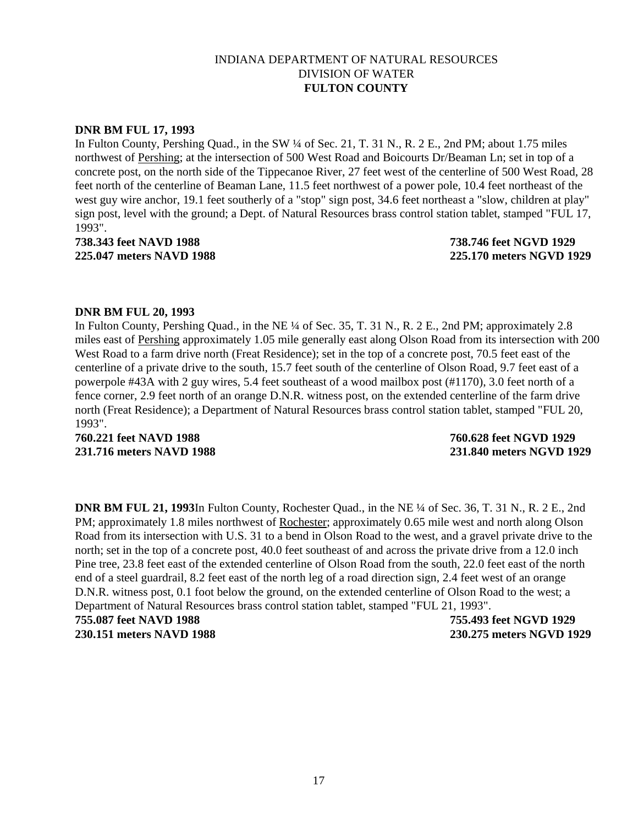### **DNR BM FUL 17, 1993**

In Fulton County, Pershing Quad., in the SW ¼ of Sec. 21, T. 31 N., R. 2 E., 2nd PM; about 1.75 miles northwest of Pershing; at the intersection of 500 West Road and Boicourts Dr/Beaman Ln; set in top of a concrete post, on the north side of the Tippecanoe River, 27 feet west of the centerline of 500 West Road, 28 feet north of the centerline of Beaman Lane, 11.5 feet northwest of a power pole, 10.4 feet northeast of the west guy wire anchor, 19.1 feet southerly of a "stop" sign post, 34.6 feet northeast a "slow, children at play" sign post, level with the ground; a Dept. of Natural Resources brass control station tablet, stamped "FUL 17, 1993".

**738.343 feet NAVD 1988 738.746 feet NGVD 1929 225.047 meters NAVD 1988 225.170 meters NGVD 1929**

### **DNR BM FUL 20, 1993**

In Fulton County, Pershing Quad., in the NE ¼ of Sec. 35, T. 31 N., R. 2 E., 2nd PM; approximately 2.8 miles east of Pershing approximately 1.05 mile generally east along Olson Road from its intersection with 200 West Road to a farm drive north (Freat Residence); set in the top of a concrete post, 70.5 feet east of the centerline of a private drive to the south, 15.7 feet south of the centerline of Olson Road, 9.7 feet east of a powerpole #43A with 2 guy wires, 5.4 feet southeast of a wood mailbox post (#1170), 3.0 feet north of a fence corner, 2.9 feet north of an orange D.N.R. witness post, on the extended centerline of the farm drive north (Freat Residence); a Department of Natural Resources brass control station tablet, stamped "FUL 20, 1993".

**760.221 feet NAVD 1988 760.628 feet NGVD 1929**

**231.716 meters NAVD 1988 231.840 meters NGVD 1929**

**DNR BM FUL 21, 1993**In Fulton County, Rochester Quad., in the NE ¼ of Sec. 36, T. 31 N., R. 2 E., 2nd PM; approximately 1.8 miles northwest of Rochester; approximately 0.65 mile west and north along Olson Road from its intersection with U.S. 31 to a bend in Olson Road to the west, and a gravel private drive to the north; set in the top of a concrete post, 40.0 feet southeast of and across the private drive from a 12.0 inch Pine tree, 23.8 feet east of the extended centerline of Olson Road from the south, 22.0 feet east of the north end of a steel guardrail, 8.2 feet east of the north leg of a road direction sign, 2.4 feet west of an orange D.N.R. witness post, 0.1 foot below the ground, on the extended centerline of Olson Road to the west; a Department of Natural Resources brass control station tablet, stamped "FUL 21, 1993". **755.087 feet NAVD 1988 755.493 feet NGVD 1929**

**230.151 meters NAVD 1988 230.275 meters NGVD 1929**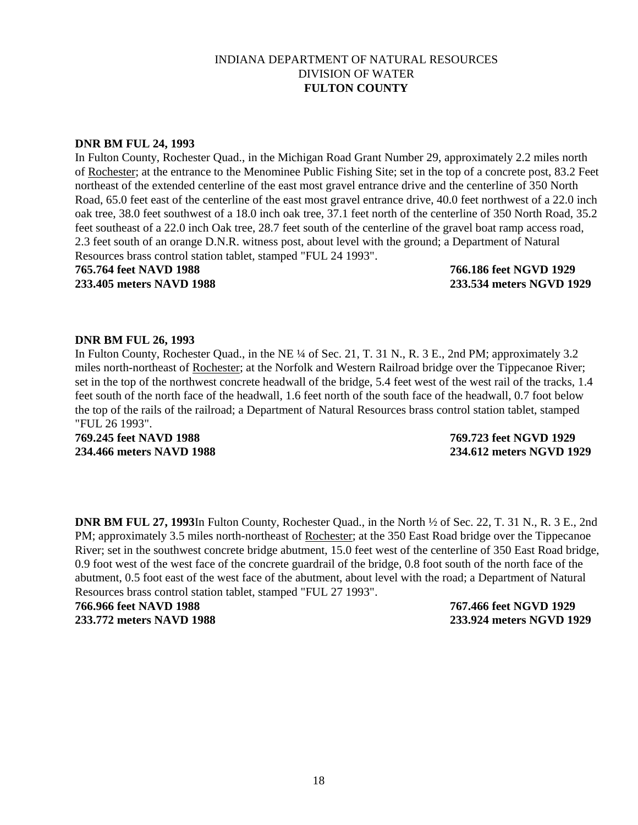#### **DNR BM FUL 24, 1993**

In Fulton County, Rochester Quad., in the Michigan Road Grant Number 29, approximately 2.2 miles north of Rochester; at the entrance to the Menominee Public Fishing Site; set in the top of a concrete post, 83.2 Feet northeast of the extended centerline of the east most gravel entrance drive and the centerline of 350 North Road, 65.0 feet east of the centerline of the east most gravel entrance drive, 40.0 feet northwest of a 22.0 inch oak tree, 38.0 feet southwest of a 18.0 inch oak tree, 37.1 feet north of the centerline of 350 North Road, 35.2 feet southeast of a 22.0 inch Oak tree, 28.7 feet south of the centerline of the gravel boat ramp access road, 2.3 feet south of an orange D.N.R. witness post, about level with the ground; a Department of Natural Resources brass control station tablet, stamped "FUL 24 1993".

**765.764 feet NAVD 1988 766.186 feet NGVD 1929 233.405 meters NAVD 1988 233.534 meters NGVD 1929**

#### **DNR BM FUL 26, 1993**

In Fulton County, Rochester Quad., in the NE ¼ of Sec. 21, T. 31 N., R. 3 E., 2nd PM; approximately 3.2 miles north-northeast of Rochester; at the Norfolk and Western Railroad bridge over the Tippecanoe River; set in the top of the northwest concrete headwall of the bridge, 5.4 feet west of the west rail of the tracks, 1.4 feet south of the north face of the headwall, 1.6 feet north of the south face of the headwall, 0.7 foot below the top of the rails of the railroad; a Department of Natural Resources brass control station tablet, stamped "FUL 26 1993".

**769.245 feet NAVD 1988 769.723 feet NGVD 1929**

**234.466 meters NAVD 1988 234.612 meters NGVD 1929**

**DNR BM FUL 27, 1993**In Fulton County, Rochester Quad., in the North ½ of Sec. 22, T. 31 N., R. 3 E., 2nd PM; approximately 3.5 miles north-northeast of Rochester; at the 350 East Road bridge over the Tippecanoe River; set in the southwest concrete bridge abutment, 15.0 feet west of the centerline of 350 East Road bridge, 0.9 foot west of the west face of the concrete guardrail of the bridge, 0.8 foot south of the north face of the abutment, 0.5 foot east of the west face of the abutment, about level with the road; a Department of Natural Resources brass control station tablet, stamped "FUL 27 1993".

**766.966 feet NAVD 1988 767.466 feet NGVD 1929 233.772 meters NAVD 1988 233.924 meters NGVD 1929**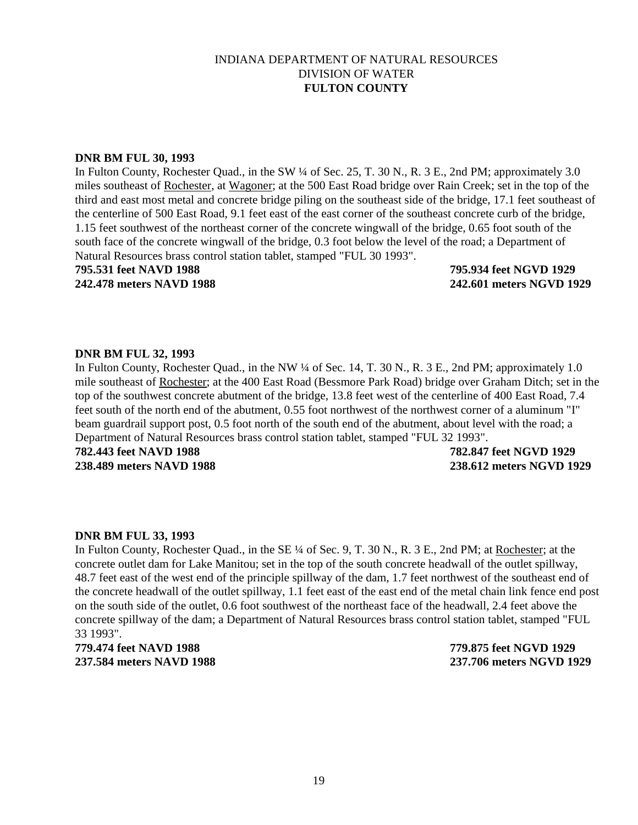#### **DNR BM FUL 30, 1993**

In Fulton County, Rochester Quad., in the SW ¼ of Sec. 25, T. 30 N., R. 3 E., 2nd PM; approximately 3.0 miles southeast of Rochester, at Wagoner; at the 500 East Road bridge over Rain Creek; set in the top of the third and east most metal and concrete bridge piling on the southeast side of the bridge, 17.1 feet southeast of the centerline of 500 East Road, 9.1 feet east of the east corner of the southeast concrete curb of the bridge, 1.15 feet southwest of the northeast corner of the concrete wingwall of the bridge, 0.65 foot south of the south face of the concrete wingwall of the bridge, 0.3 foot below the level of the road; a Department of Natural Resources brass control station tablet, stamped "FUL 30 1993".

**795.531 feet NAVD 1988 795.934 feet NGVD 1929 242.478 meters NAVD 1988 242.601 meters NGVD 1929**

### **DNR BM FUL 32, 1993**

In Fulton County, Rochester Quad., in the NW ¼ of Sec. 14, T. 30 N., R. 3 E., 2nd PM; approximately 1.0 mile southeast of Rochester; at the 400 East Road (Bessmore Park Road) bridge over Graham Ditch; set in the top of the southwest concrete abutment of the bridge, 13.8 feet west of the centerline of 400 East Road, 7.4 feet south of the north end of the abutment, 0.55 foot northwest of the northwest corner of a aluminum "I" beam guardrail support post, 0.5 foot north of the south end of the abutment, about level with the road; a Department of Natural Resources brass control station tablet, stamped "FUL 32 1993".

**782.443 feet NAVD 1988 782.847 feet NGVD 1929**

**238.489 meters NAVD 1988 238.612 meters NGVD 1929**

### **DNR BM FUL 33, 1993**

In Fulton County, Rochester Quad., in the SE ¼ of Sec. 9, T. 30 N., R. 3 E., 2nd PM; at Rochester; at the concrete outlet dam for Lake Manitou; set in the top of the south concrete headwall of the outlet spillway, 48.7 feet east of the west end of the principle spillway of the dam, 1.7 feet northwest of the southeast end of the concrete headwall of the outlet spillway, 1.1 feet east of the east end of the metal chain link fence end post on the south side of the outlet, 0.6 foot southwest of the northeast face of the headwall, 2.4 feet above the concrete spillway of the dam; a Department of Natural Resources brass control station tablet, stamped "FUL 33 1993".

**779.474 feet NAVD 1988 779.875 feet NGVD 1929**

**237.584 meters NAVD 1988 237.706 meters NGVD 1929**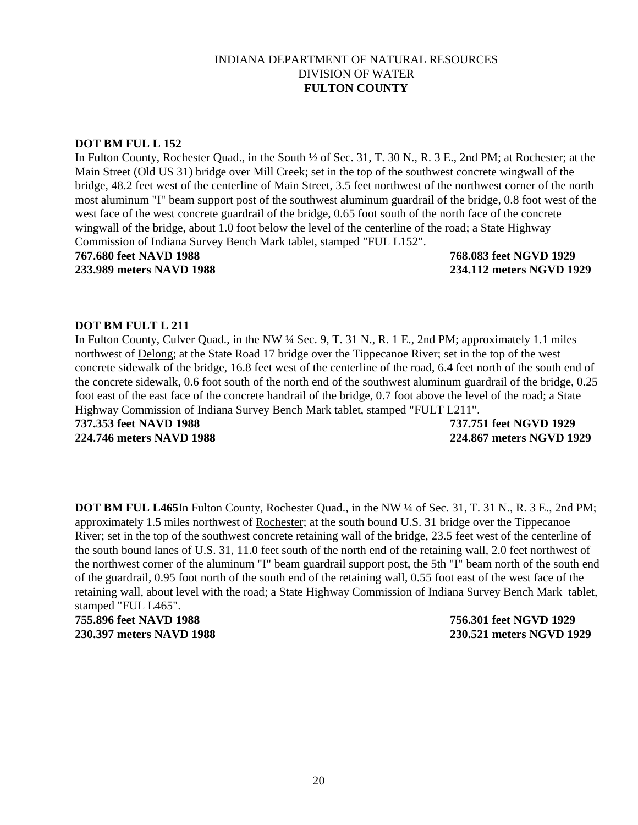### **DOT BM FUL L 152**

In Fulton County, Rochester Quad., in the South ½ of Sec. 31, T. 30 N., R. 3 E., 2nd PM; at Rochester; at the Main Street (Old US 31) bridge over Mill Creek; set in the top of the southwest concrete wingwall of the bridge, 48.2 feet west of the centerline of Main Street, 3.5 feet northwest of the northwest corner of the north most aluminum "I" beam support post of the southwest aluminum guardrail of the bridge, 0.8 foot west of the west face of the west concrete guardrail of the bridge, 0.65 foot south of the north face of the concrete wingwall of the bridge, about 1.0 foot below the level of the centerline of the road; a State Highway Commission of Indiana Survey Bench Mark tablet, stamped "FUL L152".

**767.680 feet NAVD 1988 768.083 feet NGVD 1929**

**233.989 meters NAVD 1988 234.112 meters NGVD 1929**

# **DOT BM FULT L 211**

In Fulton County, Culver Quad., in the NW ¼ Sec. 9, T. 31 N., R. 1 E., 2nd PM; approximately 1.1 miles northwest of Delong; at the State Road 17 bridge over the Tippecanoe River; set in the top of the west concrete sidewalk of the bridge, 16.8 feet west of the centerline of the road, 6.4 feet north of the south end of the concrete sidewalk, 0.6 foot south of the north end of the southwest aluminum guardrail of the bridge, 0.25 foot east of the east face of the concrete handrail of the bridge, 0.7 foot above the level of the road; a State Highway Commission of Indiana Survey Bench Mark tablet, stamped "FULT L211".

**737.353 feet NAVD 1988 737.751 feet NGVD 1929**

**224.746 meters NAVD 1988 224.867 meters NGVD 1929**

**DOT BM FUL L465**In Fulton County, Rochester Quad., in the NW ¼ of Sec. 31, T. 31 N., R. 3 E., 2nd PM; approximately 1.5 miles northwest of Rochester; at the south bound U.S. 31 bridge over the Tippecanoe River; set in the top of the southwest concrete retaining wall of the bridge, 23.5 feet west of the centerline of the south bound lanes of U.S. 31, 11.0 feet south of the north end of the retaining wall, 2.0 feet northwest of the northwest corner of the aluminum "I" beam guardrail support post, the 5th "I" beam north of the south end of the guardrail, 0.95 foot north of the south end of the retaining wall, 0.55 foot east of the west face of the retaining wall, about level with the road; a State Highway Commission of Indiana Survey Bench Mark tablet, stamped "FUL L465".

**755.896 feet NAVD 1988 756.301 feet NGVD 1929**

**230.397 meters NAVD 1988 230.521 meters NGVD 1929**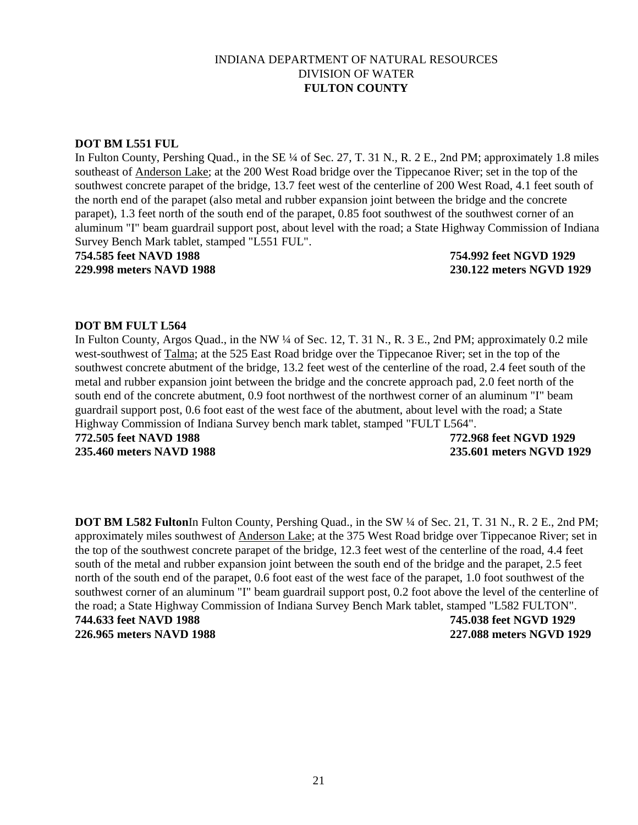### **DOT BM L551 FUL**

In Fulton County, Pershing Quad., in the SE ¼ of Sec. 27, T. 31 N., R. 2 E., 2nd PM; approximately 1.8 miles southeast of Anderson Lake; at the 200 West Road bridge over the Tippecanoe River; set in the top of the southwest concrete parapet of the bridge, 13.7 feet west of the centerline of 200 West Road, 4.1 feet south of the north end of the parapet (also metal and rubber expansion joint between the bridge and the concrete parapet), 1.3 feet north of the south end of the parapet, 0.85 foot southwest of the southwest corner of an aluminum "I" beam guardrail support post, about level with the road; a State Highway Commission of Indiana Survey Bench Mark tablet, stamped "L551 FUL".

**754.585 feet NAVD 1988 754.992 feet NGVD 1929 229.998 meters NAVD 1988 230.122 meters NGVD 1929**

### **DOT BM FULT L564**

In Fulton County, Argos Quad., in the NW ¼ of Sec. 12, T. 31 N., R. 3 E., 2nd PM; approximately 0.2 mile west-southwest of Talma; at the 525 East Road bridge over the Tippecanoe River; set in the top of the southwest concrete abutment of the bridge, 13.2 feet west of the centerline of the road, 2.4 feet south of the metal and rubber expansion joint between the bridge and the concrete approach pad, 2.0 feet north of the south end of the concrete abutment, 0.9 foot northwest of the northwest corner of an aluminum "I" beam guardrail support post, 0.6 foot east of the west face of the abutment, about level with the road; a State Highway Commission of Indiana Survey bench mark tablet, stamped "FULT L564".

**772.505 feet NAVD 1988 772.968 feet NGVD 1929**

**235.460 meters NAVD 1988 235.601 meters NGVD 1929**

**DOT BM L582 Fulton**In Fulton County, Pershing Quad., in the SW ¼ of Sec. 21, T. 31 N., R. 2 E., 2nd PM; approximately miles southwest of Anderson Lake; at the 375 West Road bridge over Tippecanoe River; set in the top of the southwest concrete parapet of the bridge, 12.3 feet west of the centerline of the road, 4.4 feet south of the metal and rubber expansion joint between the south end of the bridge and the parapet, 2.5 feet north of the south end of the parapet, 0.6 foot east of the west face of the parapet, 1.0 foot southwest of the southwest corner of an aluminum "I" beam guardrail support post, 0.2 foot above the level of the centerline of the road; a State Highway Commission of Indiana Survey Bench Mark tablet, stamped "L582 FULTON". **744.633 feet NAVD 1988 745.038 feet NGVD 1929 226.965 meters NAVD 1988 227.088 meters NGVD 1929**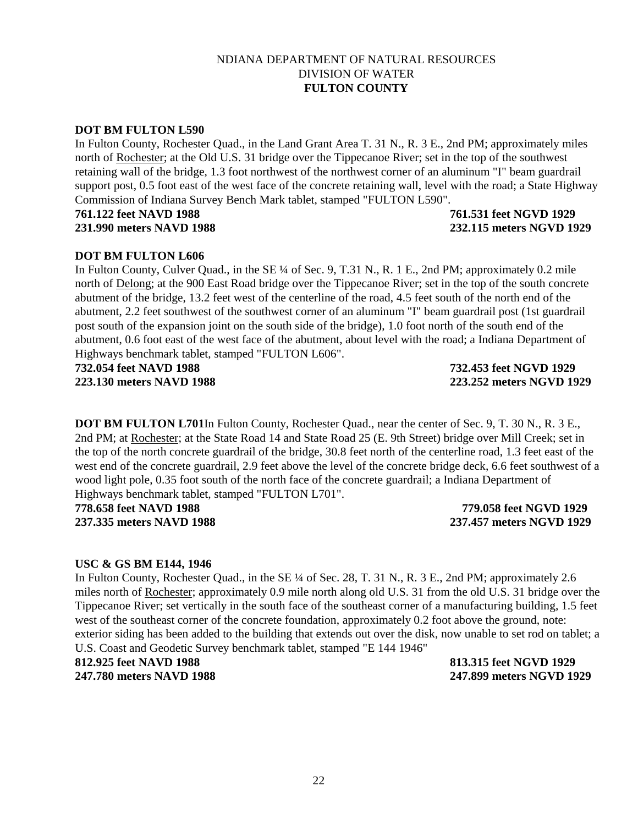# 22

## NDIANA DEPARTMENT OF NATURAL RESOURCES DIVISION OF WATER **FULTON COUNTY**

# **DOT BM FULTON L590**

In Fulton County, Rochester Quad., in the Land Grant Area T. 31 N., R. 3 E., 2nd PM; approximately miles north of Rochester; at the Old U.S. 31 bridge over the Tippecanoe River; set in the top of the southwest retaining wall of the bridge, 1.3 foot northwest of the northwest corner of an aluminum "I" beam guardrail support post, 0.5 foot east of the west face of the concrete retaining wall, level with the road; a State Highway Commission of Indiana Survey Bench Mark tablet, stamped "FULTON L590".

# **761.122 feet NAVD 1988 761.531 feet NGVD 1929**

# **DOT BM FULTON L606**

In Fulton County, Culver Quad., in the SE ¼ of Sec. 9, T.31 N., R. 1 E., 2nd PM; approximately 0.2 mile north of Delong; at the 900 East Road bridge over the Tippecanoe River; set in the top of the south concrete abutment of the bridge, 13.2 feet west of the centerline of the road, 4.5 feet south of the north end of the abutment, 2.2 feet southwest of the southwest corner of an aluminum "I" beam guardrail post (1st guardrail post south of the expansion joint on the south side of the bridge), 1.0 foot north of the south end of the abutment, 0.6 foot east of the west face of the abutment, about level with the road; a Indiana Department of Highways benchmark tablet, stamped "FULTON L606".

**732.054 feet NAVD 1988 732.453 feet NGVD 1929**

**DOT BM FULTON L701**In Fulton County, Rochester Quad., near the center of Sec. 9, T. 30 N., R. 3 E., 2nd PM; at Rochester; at the State Road 14 and State Road 25 (E. 9th Street) bridge over Mill Creek; set in the top of the north concrete guardrail of the bridge, 30.8 feet north of the centerline road, 1.3 feet east of the west end of the concrete guardrail, 2.9 feet above the level of the concrete bridge deck, 6.6 feet southwest of a wood light pole, 0.35 foot south of the north face of the concrete guardrail; a Indiana Department of Highways benchmark tablet, stamped "FULTON L701".

**778.658 feet NAVD 1988 779.058 feet NGVD 1929 237.335 meters NAVD 1988 237.457 meters NGVD 1929**

# **USC & GS BM E144, 1946**

In Fulton County, Rochester Quad., in the SE ¼ of Sec. 28, T. 31 N., R. 3 E., 2nd PM; approximately 2.6 miles north of Rochester; approximately 0.9 mile north along old U.S. 31 from the old U.S. 31 bridge over the Tippecanoe River; set vertically in the south face of the southeast corner of a manufacturing building, 1.5 feet west of the southeast corner of the concrete foundation, approximately 0.2 foot above the ground, note: exterior siding has been added to the building that extends out over the disk, now unable to set rod on tablet; a U.S. Coast and Geodetic Survey benchmark tablet, stamped "E 144 1946"

# **812.925 feet NAVD 1988 813.315 feet NGVD 1929**

**223.130 meters NAVD 1988 223.252 meters NGVD 1929**

**247.780 meters NAVD 1988 247.899 meters NGVD 1929**

**231.990 meters NAVD 1988 232.115 meters NGVD 1929**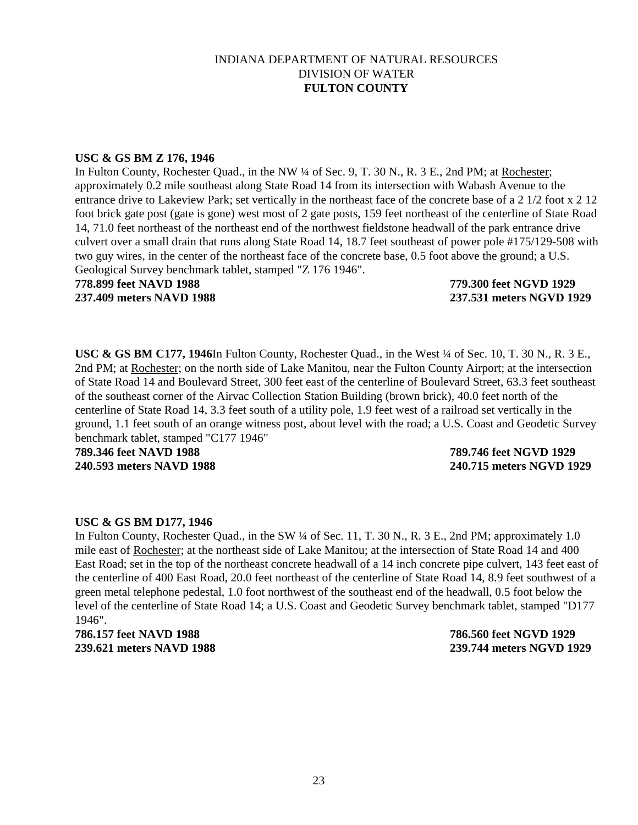#### **USC & GS BM Z 176, 1946**

In Fulton County, Rochester Quad., in the NW ¼ of Sec. 9, T. 30 N., R. 3 E., 2nd PM; at Rochester; approximately 0.2 mile southeast along State Road 14 from its intersection with Wabash Avenue to the entrance drive to Lakeview Park; set vertically in the northeast face of the concrete base of a 2 1/2 foot x 2 12 foot brick gate post (gate is gone) west most of 2 gate posts, 159 feet northeast of the centerline of State Road 14, 71.0 feet northeast of the northeast end of the northwest fieldstone headwall of the park entrance drive culvert over a small drain that runs along State Road 14, 18.7 feet southeast of power pole #175/129-508 with two guy wires, in the center of the northeast face of the concrete base, 0.5 foot above the ground; a U.S. Geological Survey benchmark tablet, stamped "Z 176 1946".

# **778.899 feet NAVD 1988 779.300 feet NGVD 1929**

**237.409 meters NAVD 1988 237.531 meters NGVD 1929**

**USC & GS BM C177, 1946**In Fulton County, Rochester Quad., in the West ¼ of Sec. 10, T. 30 N., R. 3 E., 2nd PM; at Rochester; on the north side of Lake Manitou, near the Fulton County Airport; at the intersection of State Road 14 and Boulevard Street, 300 feet east of the centerline of Boulevard Street, 63.3 feet southeast of the southeast corner of the Airvac Collection Station Building (brown brick), 40.0 feet north of the centerline of State Road 14, 3.3 feet south of a utility pole, 1.9 feet west of a railroad set vertically in the ground, 1.1 feet south of an orange witness post, about level with the road; a U.S. Coast and Geodetic Survey benchmark tablet, stamped "C177 1946"

**789.346 feet NAVD 1988 789.746 feet NGVD 1929**

# **240.593 meters NAVD 1988 240.715 meters NGVD 1929**

# **USC & GS BM D177, 1946**

In Fulton County, Rochester Quad., in the SW 1/4 of Sec. 11, T. 30 N., R. 3 E., 2nd PM; approximately 1.0 mile east of Rochester; at the northeast side of Lake Manitou; at the intersection of State Road 14 and 400 East Road; set in the top of the northeast concrete headwall of a 14 inch concrete pipe culvert, 143 feet east of the centerline of 400 East Road, 20.0 feet northeast of the centerline of State Road 14, 8.9 feet southwest of a green metal telephone pedestal, 1.0 foot northwest of the southeast end of the headwall, 0.5 foot below the level of the centerline of State Road 14; a U.S. Coast and Geodetic Survey benchmark tablet, stamped "D177 1946".

**786.157 feet NAVD 1988 786.560 feet NGVD 1929**

**239.621 meters NAVD 1988 239.744 meters NGVD 1929**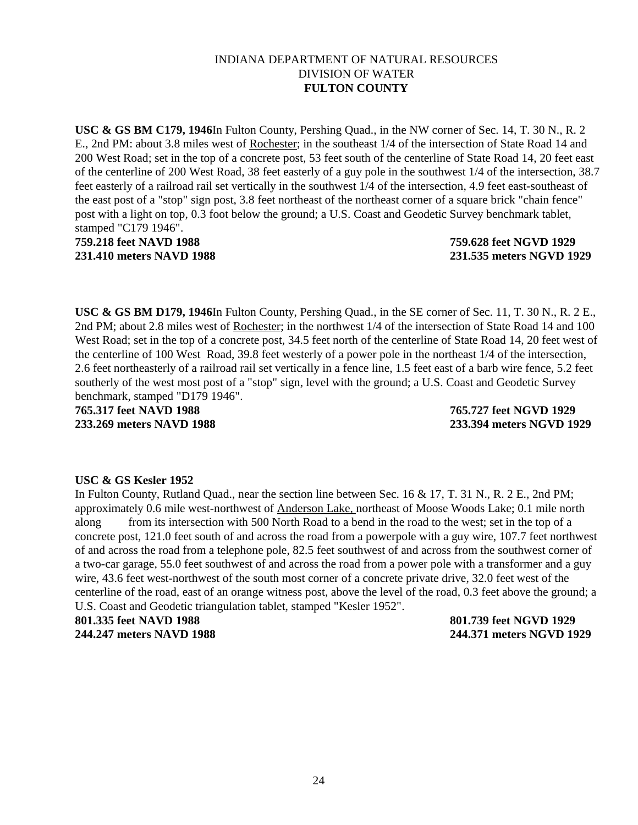**USC & GS BM C179, 1946**In Fulton County, Pershing Quad., in the NW corner of Sec. 14, T. 30 N., R. 2 E., 2nd PM: about 3.8 miles west of Rochester; in the southeast 1/4 of the intersection of State Road 14 and 200 West Road; set in the top of a concrete post, 53 feet south of the centerline of State Road 14, 20 feet east of the centerline of 200 West Road, 38 feet easterly of a guy pole in the southwest 1/4 of the intersection, 38.7 feet easterly of a railroad rail set vertically in the southwest 1/4 of the intersection, 4.9 feet east-southeast of the east post of a "stop" sign post, 3.8 feet northeast of the northeast corner of a square brick "chain fence" post with a light on top, 0.3 foot below the ground; a U.S. Coast and Geodetic Survey benchmark tablet, stamped "C179 1946".

# **759.218 feet NAVD 1988 759.628 feet NGVD 1929 231.410 meters NAVD 1988 231.535 meters NGVD 1929**

**USC & GS BM D179, 1946**In Fulton County, Pershing Quad., in the SE corner of Sec. 11, T. 30 N., R. 2 E., 2nd PM; about 2.8 miles west of Rochester; in the northwest 1/4 of the intersection of State Road 14 and 100 West Road; set in the top of a concrete post, 34.5 feet north of the centerline of State Road 14, 20 feet west of the centerline of 100 West Road, 39.8 feet westerly of a power pole in the northeast 1/4 of the intersection, 2.6 feet northeasterly of a railroad rail set vertically in a fence line, 1.5 feet east of a barb wire fence, 5.2 feet southerly of the west most post of a "stop" sign, level with the ground; a U.S. Coast and Geodetic Survey benchmark, stamped "D179 1946".

**765.317 feet NAVD 1988 765.727 feet NGVD 1929 233.269 meters NAVD 1988 233.394 meters NGVD 1929**

# **USC & GS Kesler 1952**

In Fulton County, Rutland Quad., near the section line between Sec. 16 & 17, T. 31 N., R. 2 E., 2nd PM; approximately 0.6 mile west-northwest of Anderson Lake, northeast of Moose Woods Lake; 0.1 mile north along from its intersection with 500 North Road to a bend in the road to the west; set in the top of a concrete post, 121.0 feet south of and across the road from a powerpole with a guy wire, 107.7 feet northwest of and across the road from a telephone pole, 82.5 feet southwest of and across from the southwest corner of a two-car garage, 55.0 feet southwest of and across the road from a power pole with a transformer and a guy wire, 43.6 feet west-northwest of the south most corner of a concrete private drive, 32.0 feet west of the centerline of the road, east of an orange witness post, above the level of the road, 0.3 feet above the ground; a U.S. Coast and Geodetic triangulation tablet, stamped "Kesler 1952". **801.335 feet NAVD 1988 801.739 feet NGVD 1929**

**244.247 meters NAVD 1988 244.371 meters NGVD 1929**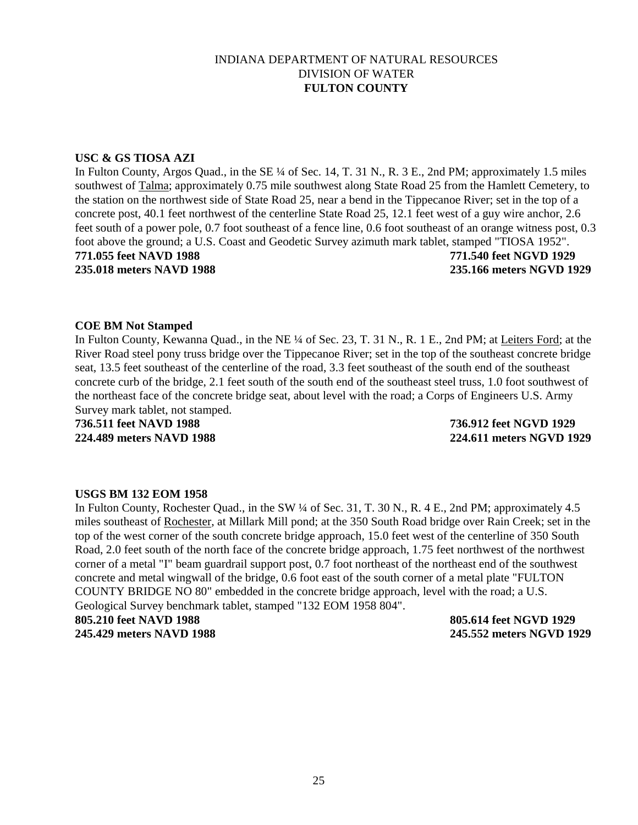### **USC & GS TIOSA AZI**

In Fulton County, Argos Quad., in the SE ¼ of Sec. 14, T. 31 N., R. 3 E., 2nd PM; approximately 1.5 miles southwest of Talma; approximately 0.75 mile southwest along State Road 25 from the Hamlett Cemetery, to the station on the northwest side of State Road 25, near a bend in the Tippecanoe River; set in the top of a concrete post, 40.1 feet northwest of the centerline State Road 25, 12.1 feet west of a guy wire anchor, 2.6 feet south of a power pole, 0.7 foot southeast of a fence line, 0.6 foot southeast of an orange witness post, 0.3 foot above the ground; a U.S. Coast and Geodetic Survey azimuth mark tablet, stamped "TIOSA 1952". **771.055 feet NAVD 1988 771.540 feet NGVD 1929 235.018 meters NAVD 1988 235.166 meters NGVD 1929**

#### **COE BM Not Stamped**

In Fulton County, Kewanna Quad., in the NE ¼ of Sec. 23, T. 31 N., R. 1 E., 2nd PM; at Leiters Ford; at the River Road steel pony truss bridge over the Tippecanoe River; set in the top of the southeast concrete bridge seat, 13.5 feet southeast of the centerline of the road, 3.3 feet southeast of the south end of the southeast concrete curb of the bridge, 2.1 feet south of the south end of the southeast steel truss, 1.0 foot southwest of the northeast face of the concrete bridge seat, about level with the road; a Corps of Engineers U.S. Army Survey mark tablet, not stamped.

**736.511 feet NAVD 1988 736.912 feet NGVD 1929 224.489 meters NAVD 1988 224.611 meters NGVD 1929**

#### **USGS BM 132 EOM 1958**

In Fulton County, Rochester Quad., in the SW ¼ of Sec. 31, T. 30 N., R. 4 E., 2nd PM; approximately 4.5 miles southeast of Rochester, at Millark Mill pond; at the 350 South Road bridge over Rain Creek; set in the top of the west corner of the south concrete bridge approach, 15.0 feet west of the centerline of 350 South Road, 2.0 feet south of the north face of the concrete bridge approach, 1.75 feet northwest of the northwest corner of a metal "I" beam guardrail support post, 0.7 foot northeast of the northeast end of the southwest concrete and metal wingwall of the bridge, 0.6 foot east of the south corner of a metal plate "FULTON COUNTY BRIDGE NO 80" embedded in the concrete bridge approach, level with the road; a U.S. Geological Survey benchmark tablet, stamped "132 EOM 1958 804".

**805.210 feet NAVD 1988 805.614 feet NGVD 1929**

**245.429 meters NAVD 1988 245.552 meters NGVD 1929**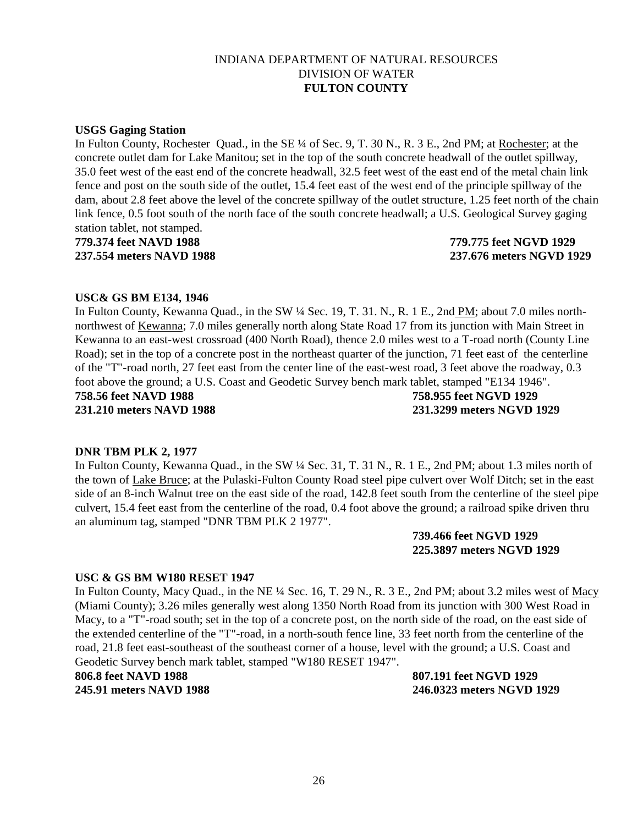### **USGS Gaging Station**

In Fulton County, Rochester Quad., in the SE ¼ of Sec. 9, T. 30 N., R. 3 E., 2nd PM; at Rochester; at the concrete outlet dam for Lake Manitou; set in the top of the south concrete headwall of the outlet spillway, 35.0 feet west of the east end of the concrete headwall, 32.5 feet west of the east end of the metal chain link fence and post on the south side of the outlet, 15.4 feet east of the west end of the principle spillway of the dam, about 2.8 feet above the level of the concrete spillway of the outlet structure, 1.25 feet north of the chain link fence, 0.5 foot south of the north face of the south concrete headwall; a U.S. Geological Survey gaging station tablet, not stamped.

**779.374 feet NAVD 1988 779.775 feet NGVD 1929 237.554 meters NAVD 1988 237.676 meters NGVD 1929**

#### **USC& GS BM E134, 1946**

In Fulton County, Kewanna Quad., in the SW 1/4 Sec. 19, T. 31. N., R. 1 E., 2nd PM; about 7.0 miles northnorthwest of Kewanna; 7.0 miles generally north along State Road 17 from its junction with Main Street in Kewanna to an east-west crossroad (400 North Road), thence 2.0 miles west to a T-road north (County Line Road); set in the top of a concrete post in the northeast quarter of the junction, 71 feet east of the centerline of the "T"-road north, 27 feet east from the center line of the east-west road, 3 feet above the roadway, 0.3 foot above the ground; a U.S. Coast and Geodetic Survey bench mark tablet, stamped "E134 1946". **758.56 feet NAVD 1988 758.955 feet NGVD 1929 231.210 meters NAVD 1988 231.3299 meters NGVD 1929**

#### **DNR TBM PLK 2, 1977**

In Fulton County, Kewanna Quad., in the SW ¼ Sec. 31, T. 31 N., R. 1 E., 2nd PM; about 1.3 miles north of the town of Lake Bruce; at the Pulaski-Fulton County Road steel pipe culvert over Wolf Ditch; set in the east side of an 8-inch Walnut tree on the east side of the road, 142.8 feet south from the centerline of the steel pipe culvert, 15.4 feet east from the centerline of the road, 0.4 foot above the ground; a railroad spike driven thru an aluminum tag, stamped "DNR TBM PLK 2 1977".

> **739.466 feet NGVD 1929 225.3897 meters NGVD 1929**

#### **USC & GS BM W180 RESET 1947**

In Fulton County, Macy Quad., in the NE ¼ Sec. 16, T. 29 N., R. 3 E., 2nd PM; about 3.2 miles west of Macy (Miami County); 3.26 miles generally west along 1350 North Road from its junction with 300 West Road in Macy, to a "T"-road south; set in the top of a concrete post, on the north side of the road, on the east side of the extended centerline of the "T"-road, in a north-south fence line, 33 feet north from the centerline of the road, 21.8 feet east-southeast of the southeast corner of a house, level with the ground; a U.S. Coast and Geodetic Survey bench mark tablet, stamped "W180 RESET 1947".

**806.8 feet NAVD 1988 807.191 feet NGVD 1929**

**245.91 meters NAVD 1988 246.0323 meters NGVD 1929**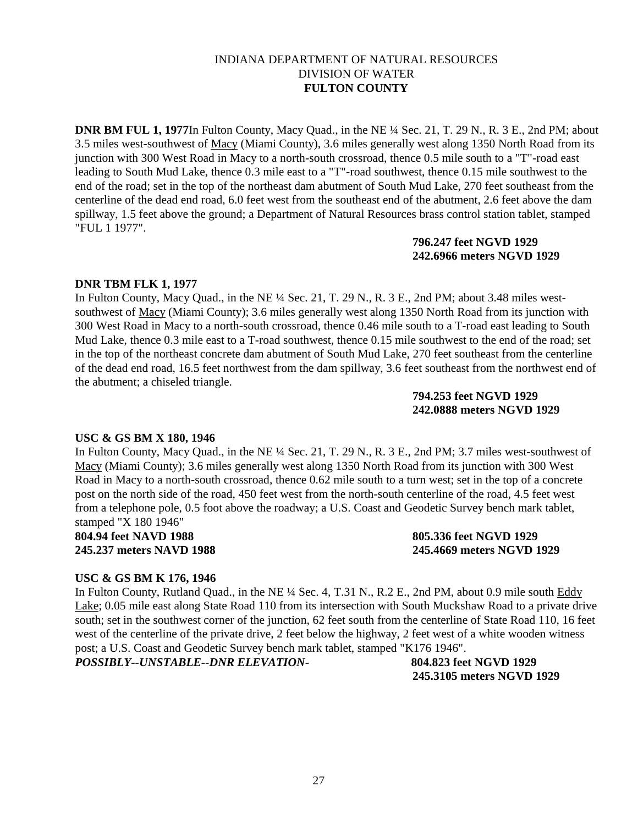**DNR BM FUL 1, 1977**In Fulton County, Macy Quad., in the NE ¼ Sec. 21, T. 29 N., R. 3 E., 2nd PM; about 3.5 miles west-southwest of Macy (Miami County), 3.6 miles generally west along 1350 North Road from its junction with 300 West Road in Macy to a north-south crossroad, thence 0.5 mile south to a "T"-road east leading to South Mud Lake, thence 0.3 mile east to a "T"-road southwest, thence 0.15 mile southwest to the end of the road; set in the top of the northeast dam abutment of South Mud Lake, 270 feet southeast from the centerline of the dead end road, 6.0 feet west from the southeast end of the abutment, 2.6 feet above the dam spillway, 1.5 feet above the ground; a Department of Natural Resources brass control station tablet, stamped "FUL 1 1977".

## **796.247 feet NGVD 1929 242.6966 meters NGVD 1929**

# **DNR TBM FLK 1, 1977**

In Fulton County, Macy Quad., in the NE ¼ Sec. 21, T. 29 N., R. 3 E., 2nd PM; about 3.48 miles westsouthwest of Macy (Miami County); 3.6 miles generally west along 1350 North Road from its junction with 300 West Road in Macy to a north-south crossroad, thence 0.46 mile south to a T-road east leading to South Mud Lake, thence 0.3 mile east to a T-road southwest, thence 0.15 mile southwest to the end of the road; set in the top of the northeast concrete dam abutment of South Mud Lake, 270 feet southeast from the centerline of the dead end road, 16.5 feet northwest from the dam spillway, 3.6 feet southeast from the northwest end of the abutment; a chiseled triangle.

## **794.253 feet NGVD 1929 242.0888 meters NGVD 1929**

### **USC & GS BM X 180, 1946**

In Fulton County, Macy Quad., in the NE ¼ Sec. 21, T. 29 N., R. 3 E., 2nd PM; 3.7 miles west-southwest of Macy (Miami County); 3.6 miles generally west along 1350 North Road from its junction with 300 West Road in Macy to a north-south crossroad, thence 0.62 mile south to a turn west; set in the top of a concrete post on the north side of the road, 450 feet west from the north-south centerline of the road, 4.5 feet west from a telephone pole, 0.5 foot above the roadway; a U.S. Coast and Geodetic Survey bench mark tablet, stamped "X 180 1946"

**804.94 feet NAVD 1988 805.336 feet NGVD 1929**

**245.237 meters NAVD 1988 245.4669 meters NGVD 1929**

# **USC & GS BM K 176, 1946**

In Fulton County, Rutland Quad., in the NE ¼ Sec. 4, T.31 N., R.2 E., 2nd PM, about 0.9 mile south Eddy Lake; 0.05 mile east along State Road 110 from its intersection with South Muckshaw Road to a private drive south; set in the southwest corner of the junction, 62 feet south from the centerline of State Road 110, 16 feet west of the centerline of the private drive, 2 feet below the highway, 2 feet west of a white wooden witness post; a U.S. Coast and Geodetic Survey bench mark tablet, stamped "K176 1946".

*POSSIBLY--UNSTABLE--DNR ELEVATION***- 804.823 feet NGVD 1929**

**245.3105 meters NGVD 1929**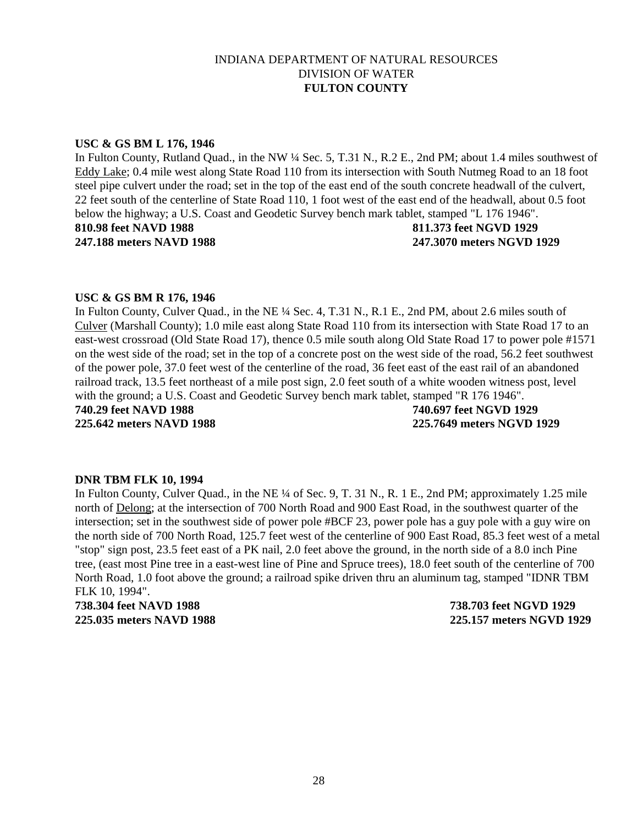#### **USC & GS BM L 176, 1946**

In Fulton County, Rutland Quad., in the NW ¼ Sec. 5, T.31 N., R.2 E., 2nd PM; about 1.4 miles southwest of Eddy Lake; 0.4 mile west along State Road 110 from its intersection with South Nutmeg Road to an 18 foot steel pipe culvert under the road; set in the top of the east end of the south concrete headwall of the culvert, 22 feet south of the centerline of State Road 110, 1 foot west of the east end of the headwall, about 0.5 foot below the highway; a U.S. Coast and Geodetic Survey bench mark tablet, stamped "L 176 1946". **810.98 feet NAVD 1988 811.373 feet NGVD 1929 247.188 meters NAVD 1988 247.3070 meters NGVD 1929**

#### **USC & GS BM R 176, 1946**

In Fulton County, Culver Quad., in the NE ¼ Sec. 4, T.31 N., R.1 E., 2nd PM, about 2.6 miles south of Culver (Marshall County); 1.0 mile east along State Road 110 from its intersection with State Road 17 to an east-west crossroad (Old State Road 17), thence 0.5 mile south along Old State Road 17 to power pole #1571 on the west side of the road; set in the top of a concrete post on the west side of the road, 56.2 feet southwest of the power pole, 37.0 feet west of the centerline of the road, 36 feet east of the east rail of an abandoned railroad track, 13.5 feet northeast of a mile post sign, 2.0 feet south of a white wooden witness post, level with the ground; a U.S. Coast and Geodetic Survey bench mark tablet, stamped "R 176 1946". **740.29 feet NAVD 1988 740.697 feet NGVD 1929 225.642 meters NAVD 1988 225.7649 meters NGVD 1929**

#### **DNR TBM FLK 10, 1994**

In Fulton County, Culver Quad., in the NE ¼ of Sec. 9, T. 31 N., R. 1 E., 2nd PM; approximately 1.25 mile north of Delong; at the intersection of 700 North Road and 900 East Road, in the southwest quarter of the intersection; set in the southwest side of power pole #BCF 23, power pole has a guy pole with a guy wire on the north side of 700 North Road, 125.7 feet west of the centerline of 900 East Road, 85.3 feet west of a metal "stop" sign post, 23.5 feet east of a PK nail, 2.0 feet above the ground, in the north side of a 8.0 inch Pine tree, (east most Pine tree in a east-west line of Pine and Spruce trees), 18.0 feet south of the centerline of 700 North Road, 1.0 foot above the ground; a railroad spike driven thru an aluminum tag, stamped "IDNR TBM FLK 10, 1994".

**738.304 feet NAVD 1988 738.703 feet NGVD 1929 225.035 meters NAVD 1988 225.157 meters NGVD 1929**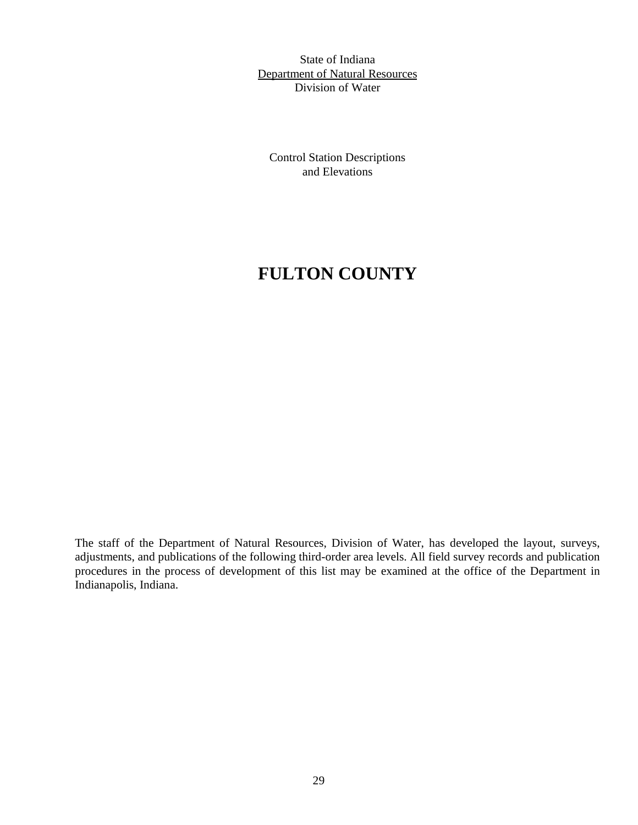State of Indiana Department of Natural Resources Division of Water

Control Station Descriptions and Elevations

# **FULTON COUNTY**

The staff of the Department of Natural Resources, Division of Water, has developed the layout, surveys, adjustments, and publications of the following third-order area levels. All field survey records and publication procedures in the process of development of this list may be examined at the office of the Department in Indianapolis, Indiana.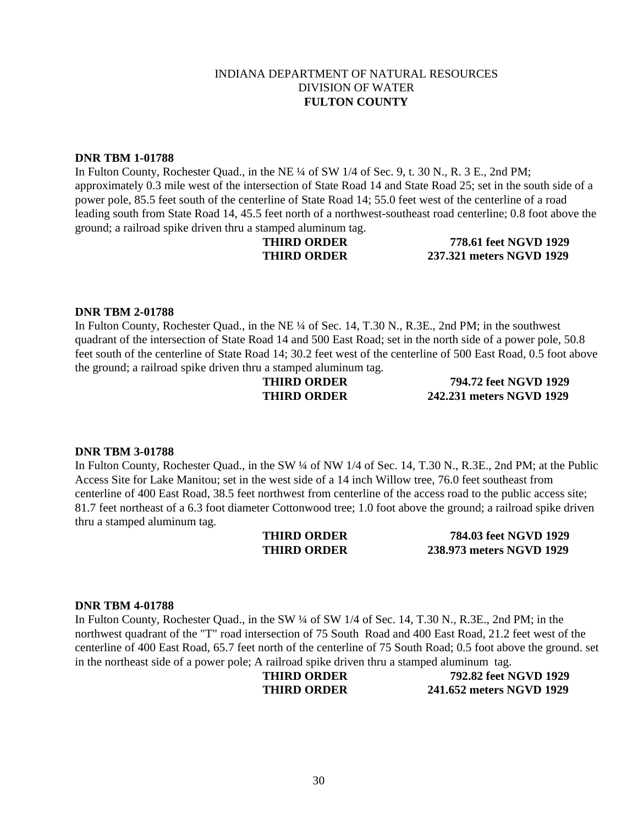#### **DNR TBM 1-01788**

In Fulton County, Rochester Quad., in the NE 1/4 of SW 1/4 of Sec. 9, t. 30 N., R. 3 E., 2nd PM; approximately 0.3 mile west of the intersection of State Road 14 and State Road 25; set in the south side of a power pole, 85.5 feet south of the centerline of State Road 14; 55.0 feet west of the centerline of a road leading south from State Road 14, 45.5 feet north of a northwest-southeast road centerline; 0.8 foot above the ground; a railroad spike driven thru a stamped aluminum tag.

**THIRD ORDER 778.61 feet NGVD 1929 THIRD ORDER 237.321 meters NGVD 1929**

### **DNR TBM 2-01788**

In Fulton County, Rochester Quad., in the NE ¼ of Sec. 14, T.30 N., R.3E., 2nd PM; in the southwest quadrant of the intersection of State Road 14 and 500 East Road; set in the north side of a power pole, 50.8 feet south of the centerline of State Road 14; 30.2 feet west of the centerline of 500 East Road, 0.5 foot above the ground; a railroad spike driven thru a stamped aluminum tag.

**THIRD ORDER 794.72 feet NGVD 1929 THIRD ORDER 242.231 meters NGVD 1929**

### **DNR TBM 3-01788**

In Fulton County, Rochester Quad., in the SW  $\frac{1}{4}$  of NW 1/4 of Sec. 14, T.30 N., R.3E., 2nd PM; at the Public Access Site for Lake Manitou; set in the west side of a 14 inch Willow tree, 76.0 feet southeast from centerline of 400 East Road, 38.5 feet northwest from centerline of the access road to the public access site; 81.7 feet northeast of a 6.3 foot diameter Cottonwood tree; 1.0 foot above the ground; a railroad spike driven thru a stamped aluminum tag.

**THIRD ORDER 784.03 feet NGVD 1929 THIRD ORDER 238.973 meters NGVD 1929**

### **DNR TBM 4-01788**

In Fulton County, Rochester Quad., in the SW  $\frac{1}{4}$  of SW 1/4 of Sec. 14, T.30 N., R.3E., 2nd PM; in the northwest quadrant of the "T" road intersection of 75 South Road and 400 East Road, 21.2 feet west of the centerline of 400 East Road, 65.7 feet north of the centerline of 75 South Road; 0.5 foot above the ground. set in the northeast side of a power pole; A railroad spike driven thru a stamped aluminum tag.

**THIRD ORDER 792.82 feet NGVD 1929 THIRD ORDER 241.652 meters NGVD 1929**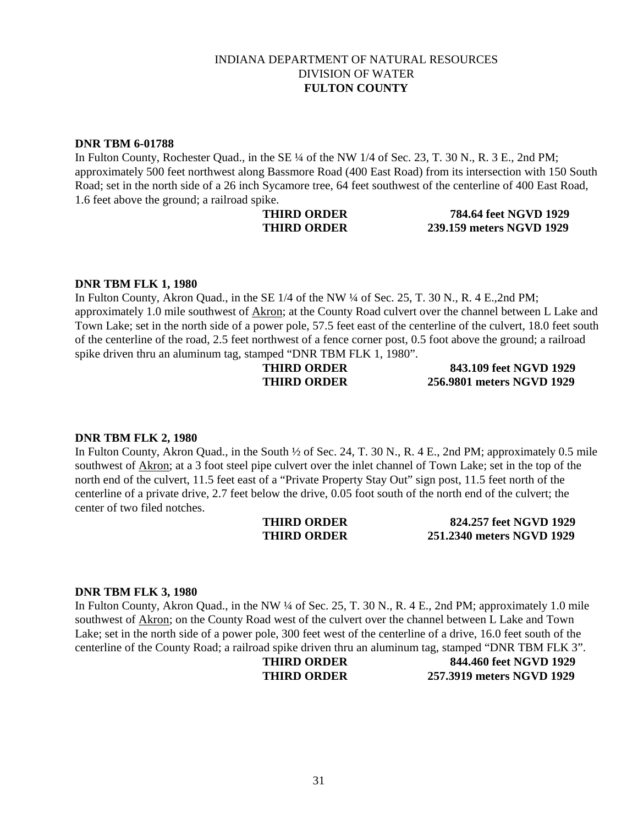#### **DNR TBM 6-01788**

In Fulton County, Rochester Quad., in the SE  $\frac{1}{4}$  of the NW 1/4 of Sec. 23, T. 30 N., R. 3 E., 2nd PM; approximately 500 feet northwest along Bassmore Road (400 East Road) from its intersection with 150 South Road; set in the north side of a 26 inch Sycamore tree, 64 feet southwest of the centerline of 400 East Road, 1.6 feet above the ground; a railroad spike.

## **THIRD ORDER 784.64 feet NGVD 1929 THIRD ORDER 239.159 meters NGVD 1929**

#### **DNR TBM FLK 1, 1980**

In Fulton County, Akron Quad., in the SE 1/4 of the NW ¼ of Sec. 25, T. 30 N., R. 4 E., 2nd PM; approximately 1.0 mile southwest of Akron; at the County Road culvert over the channel between L Lake and Town Lake; set in the north side of a power pole, 57.5 feet east of the centerline of the culvert, 18.0 feet south of the centerline of the road, 2.5 feet northwest of a fence corner post, 0.5 foot above the ground; a railroad spike driven thru an aluminum tag, stamped "DNR TBM FLK 1, 1980".

**THIRD ORDER 843.109 feet NGVD 1929 THIRD ORDER 256.9801 meters NGVD 1929**

#### **DNR TBM FLK 2, 1980**

In Fulton County, Akron Quad., in the South  $\frac{1}{2}$  of Sec. 24, T. 30 N., R. 4 E., 2nd PM; approximately 0.5 mile southwest of Akron; at a 3 foot steel pipe culvert over the inlet channel of Town Lake; set in the top of the north end of the culvert, 11.5 feet east of a "Private Property Stay Out" sign post, 11.5 feet north of the centerline of a private drive, 2.7 feet below the drive, 0.05 foot south of the north end of the culvert; the center of two filed notches.

**THIRD ORDER 824.257 feet NGVD 1929 THIRD ORDER 251.2340 meters NGVD 1929**

#### **DNR TBM FLK 3, 1980**

In Fulton County, Akron Quad., in the NW ¼ of Sec. 25, T. 30 N., R. 4 E., 2nd PM; approximately 1.0 mile southwest of Akron; on the County Road west of the culvert over the channel between L Lake and Town Lake; set in the north side of a power pole, 300 feet west of the centerline of a drive, 16.0 feet south of the centerline of the County Road; a railroad spike driven thru an aluminum tag, stamped "DNR TBM FLK 3".

**THIRD ORDER 844.460 feet NGVD 1929 THIRD ORDER 257.3919 meters NGVD 1929**